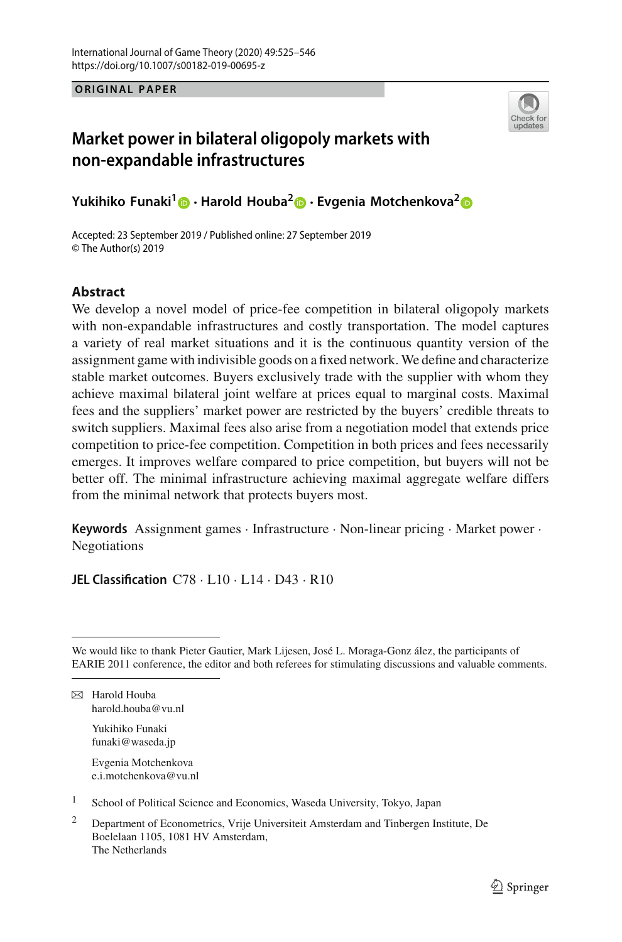**ORIGINAL PAPER**



# **Market power in bilateral oligopoly markets with non-expandable infrastructures**

**Yukihiko Funaki[1](http://orcid.org/0000-0001-5202-7182) · Harold Houba[2](http://orcid.org/0000-0001-9085-7339) · Evgenia Motchenkova2**

Accepted: 23 September 2019 / Published online: 27 September 2019 © The Author(s) 2019

# **Abstract**

We develop a novel model of price-fee competition in bilateral oligopoly markets with non-expandable infrastructures and costly transportation. The model captures a variety of real market situations and it is the continuous quantity version of the assignment game with indivisible goods on a fixed network.We define and characterize stable market outcomes. Buyers exclusively trade with the supplier with whom they achieve maximal bilateral joint welfare at prices equal to marginal costs. Maximal fees and the suppliers' market power are restricted by the buyers' credible threats to switch suppliers. Maximal fees also arise from a negotiation model that extends price competition to price-fee competition. Competition in both prices and fees necessarily emerges. It improves welfare compared to price competition, but buyers will not be better off. The minimal infrastructure achieving maximal aggregate welfare differs from the minimal network that protects buyers most.

**Keywords** Assignment games · Infrastructure · Non-linear pricing · Market power · Negotiations

**JEL Classification** C78 · L10 · L14 · D43 · R10

 $\boxtimes$  Harold Houba harold.houba@vu.nl

> Yukihiko Funaki funaki@waseda.jp

Evgenia Motchenkova e.i.motchenkova@vu.nl

<sup>1</sup> School of Political Science and Economics, Waseda University, Tokyo, Japan

We would like to thank Pieter Gautier, Mark Lijesen, José L. Moraga-Gonz ález, the participants of EARIE 2011 conference, the editor and both referees for stimulating discussions and valuable comments.

<sup>&</sup>lt;sup>2</sup> Department of Econometrics, Vrije Universiteit Amsterdam and Tinbergen Institute, De Boelelaan 1105, 1081 HV Amsterdam, The Netherlands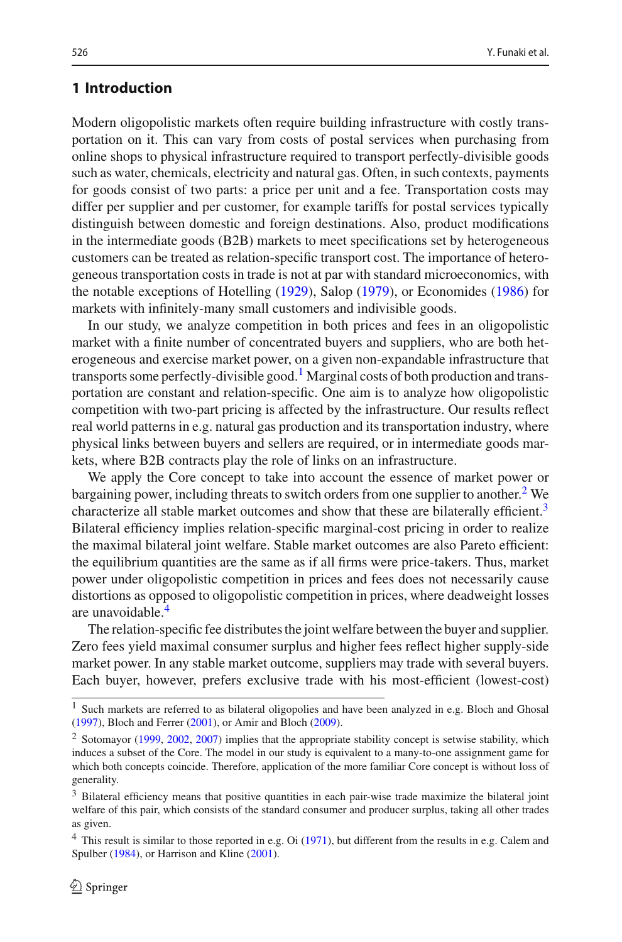# **1 Introduction**

Modern oligopolistic markets often require building infrastructure with costly transportation on it. This can vary from costs of postal services when purchasing from online shops to physical infrastructure required to transport perfectly-divisible goods such as water, chemicals, electricity and natural gas. Often, in such contexts, payments for goods consist of two parts: a price per unit and a fee. Transportation costs may differ per supplier and per customer, for example tariffs for postal services typically distinguish between domestic and foreign destinations. Also, product modifications in the intermediate goods (B2B) markets to meet specifications set by heterogeneous customers can be treated as relation-specific transport cost. The importance of heterogeneous transportation costs in trade is not at par with standard microeconomics, with the notable exceptions of Hotellin[g](#page-21-0) [\(1929\)](#page-21-0), Salo[p](#page-21-1) [\(1979](#page-21-1)), or Economide[s](#page-21-2) [\(1986](#page-21-2)) for markets with infinitely-many small customers and indivisible goods.

In our study, we analyze competition in both prices and fees in an oligopolistic market with a finite number of concentrated buyers and suppliers, who are both heterogeneous and exercise market power, on a given non-expandable infrastructure that transports some perfectly-divisible good.<sup>[1](#page-1-0)</sup> Marginal costs of both production and transportation are constant and relation-specific. One aim is to analyze how oligopolistic competition with two-part pricing is affected by the infrastructure. Our results reflect real world patterns in e.g. natural gas production and its transportation industry, where physical links between buyers and sellers are required, or in intermediate goods markets, where B2B contracts play the role of links on an infrastructure.

We apply the Core concept to take into account the essence of market power or bargaining power, including threats to switch orders from one supplier to another.<sup>[2](#page-1-1)</sup> We characterize all stable market outcomes and show that these are bilaterally efficient.<sup>3</sup> Bilateral efficiency implies relation-specific marginal-cost pricing in order to realize the maximal bilateral joint welfare. Stable market outcomes are also Pareto efficient: the equilibrium quantities are the same as if all firms were price-takers. Thus, market power under oligopolistic competition in prices and fees does not necessarily cause distortions as opposed to oligopolistic competition in prices, where deadweight losses are unavoidable.<sup>4</sup>

The relation-specific fee distributes the joint welfare between the buyer and supplier. Zero fees yield maximal consumer surplus and higher fees reflect higher supply-side market power. In any stable market outcome, suppliers may trade with several buyers. Each buyer, however, prefers exclusive trade with his most-efficient (lowest-cost)

<span id="page-1-0"></span><sup>&</sup>lt;sup>1</sup> Such markets are referred to as bi[l](#page-21-3)ateral oligopolies and have been analyzed in e.g. Bloch and Ghosal [\(1997](#page-21-3)), Bloch and Ferre[r](#page-21-4) [\(2001\)](#page-21-4), or Amir and Bloc[h](#page-21-5) [\(2009\)](#page-21-5).

<span id="page-1-1"></span><sup>&</sup>lt;sup>2</sup> Sotomayor [\(1999,](#page-21-6) [2002,](#page-21-7) [2007](#page-21-8)) implies that the appropriate stability concept is setwise stability, which induces a subset of the Core. The model in our study is equivalent to a many-to-one assignment game for which both concepts coincide. Therefore, application of the more familiar Core concept is without loss of generality.

<span id="page-1-2"></span><sup>&</sup>lt;sup>3</sup> Bilateral efficiency means that positive quantities in each pair-wise trade maximize the bilateral joint welfare of this pair, which consists of the standard consumer and producer surplus, taking all other trades as given.

<span id="page-1-3"></span><sup>&</sup>lt;sup>4</sup> Th[i](#page-21-9)s result is similar to those reported in e.g. Oi [\(1971\)](#page-21-9), but different from the results in e.g. Calem and Spulbe[r](#page-21-10) [\(1984](#page-21-10)), or Harrison and Klin[e](#page-21-11) [\(2001](#page-21-11)).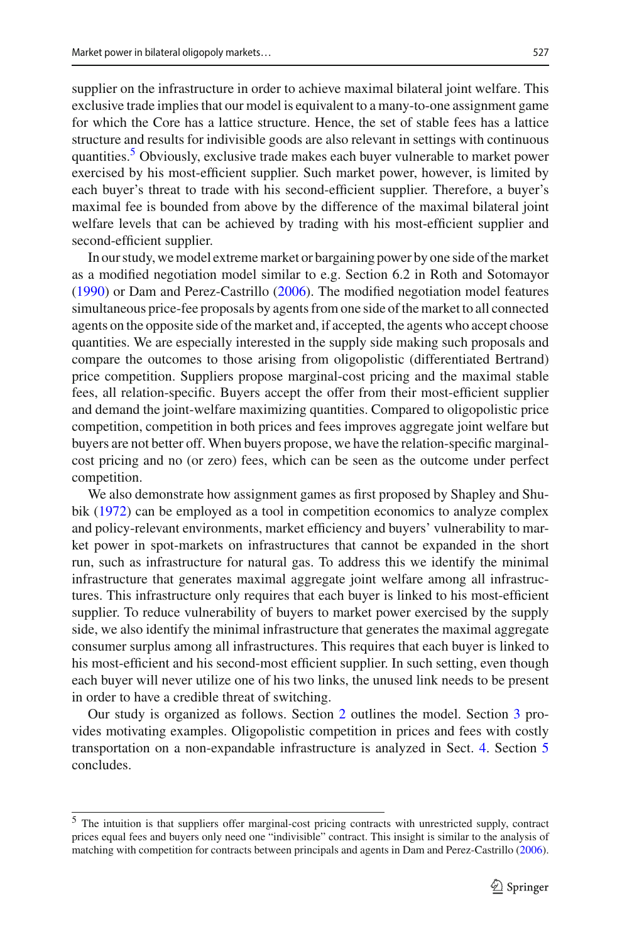supplier on the infrastructure in order to achieve maximal bilateral joint welfare. This exclusive trade implies that our model is equivalent to a many-to-one assignment game for which the Core has a lattice structure. Hence, the set of stable fees has a lattice structure and results for indivisible goods are also relevant in settings with continuous quantities.<sup>5</sup> Obviously, exclusive trade makes each buyer vulnerable to market power exercised by his most-efficient supplier. Such market power, however, is limited by each buyer's threat to trade with his second-efficient supplier. Therefore, a buyer's maximal fee is bounded from above by the difference of the maximal bilateral joint welfare levels that can be achieved by trading with his most-efficient supplier and second-efficient supplier.

In our study, we model extreme market or bargaining power by one side of the market as a modified negotiation model similar to e.g. Section 6.2 in Roth and Sotomayo[r](#page-21-12) [\(1990\)](#page-21-12) or Dam and Perez-Castrill[o](#page-21-13) [\(2006](#page-21-13)). The modified negotiation model features simultaneous price-fee proposals by agents from one side of the market to all connected agents on the opposite side of the market and, if accepted, the agents who accept choose quantities. We are especially interested in the supply side making such proposals and compare the outcomes to those arising from oligopolistic (differentiated Bertrand) price competition. Suppliers propose marginal-cost pricing and the maximal stable fees, all relation-specific. Buyers accept the offer from their most-efficient supplier and demand the joint-welfare maximizing quantities. Compared to oligopolistic price competition, competition in both prices and fees improves aggregate joint welfare but buyers are not better off. When buyers propose, we have the relation-specific marginalcost pricing and no (or zero) fees, which can be seen as the outcome under perfect competition.

We also demonstrate how assignment games as first proposed by Shapley and Shubi[k](#page-21-14) [\(1972\)](#page-21-14) can be employed as a tool in competition economics to analyze complex and policy-relevant environments, market efficiency and buyers' vulnerability to market power in spot-markets on infrastructures that cannot be expanded in the short run, such as infrastructure for natural gas. To address this we identify the minimal infrastructure that generates maximal aggregate joint welfare among all infrastructures. This infrastructure only requires that each buyer is linked to his most-efficient supplier. To reduce vulnerability of buyers to market power exercised by the supply side, we also identify the minimal infrastructure that generates the maximal aggregate consumer surplus among all infrastructures. This requires that each buyer is linked to his most-efficient and his second-most efficient supplier. In such setting, even though each buyer will never utilize one of his two links, the unused link needs to be present in order to have a credible threat of switching.

Our study is organized as follows. Section [2](#page-3-0) outlines the model. Section [3](#page-4-0) provides motivating examples. Oligopolistic competition in prices and fees with costly transportation on a non-expandable infrastructure is analyzed in Sect. [4.](#page-6-0) Section [5](#page-15-0) concludes.

<span id="page-2-0"></span><sup>5</sup> The intuition is that suppliers offer marginal-cost pricing contracts with unrestricted supply, contract prices equal fees and buyers only need one "indivisible" contract. This insight is similar to the analysis of matching with competition for contracts between principals and agents in Dam and Perez-Castrill[o](#page-21-13) [\(2006](#page-21-13)).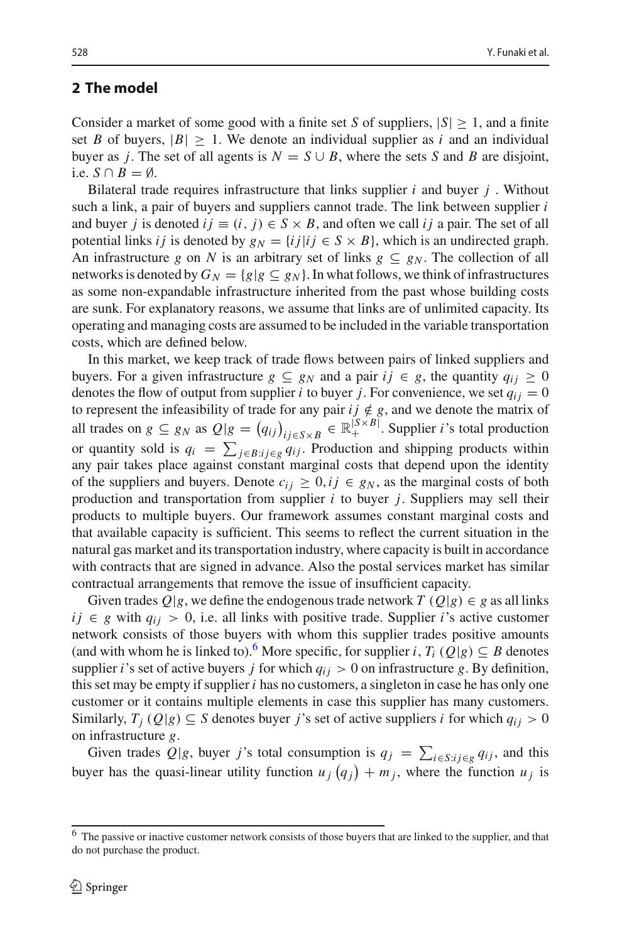# <span id="page-3-0"></span>**2 The model**

Consider a market of some good with a finite set *S* of suppliers,  $|S| \geq 1$ , and a finite set *B* of buyers,  $|B| > 1$ . We denote an individual supplier as *i* and an individual buyer as *j*. The set of all agents is  $N = S \cup B$ , where the sets *S* and *B* are disjoint, i.e.  $S \cap B = \emptyset$ .

Bilateral trade requires infrastructure that links supplier *i* and buyer *j* . Without such a link, a pair of buyers and suppliers cannot trade. The link between supplier *i* and buyer *j* is denoted  $i j \equiv (i, j) \in S \times B$ , and often we call  $i j$  a pair. The set of all potential links *i j* is denoted by  $g_N = \{i j | i j \in S \times B\}$ , which is an undirected graph. An infrastructure *g* on *N* is an arbitrary set of links  $g \nsubseteq g_N$ . The collection of all networks is denoted by  $G_N = \{g | g \subseteq g_N\}$ . In what follows, we think of infrastructures as some non-expandable infrastructure inherited from the past whose building costs are sunk. For explanatory reasons, we assume that links are of unlimited capacity. Its operating and managing costs are assumed to be included in the variable transportation costs, which are defined below.

In this market, we keep track of trade flows between pairs of linked suppliers and buyers. For a given infrastructure  $g \subseteq g_N$  and a pair  $ij \in g$ , the quantity  $q_{ij} \geq 0$ denotes the flow of output from supplier *i* to buyer *j*. For convenience, we set  $q_{ij} = 0$ to represent the infeasibility of trade for any pair  $ij \notin g$ , and we denote the matrix of all trades on  $g \subseteq g_N$  as  $Q|g = (q_{ij})_{ij \in S \times B} \in \mathbb{R}^{|S \times B|}_+$ . Supplier *i*'s total production or quantity sold is  $q_i = \sum_{j \in B : i_j \in g} q_{ij}$ . Production and shipping products within any pair takes place against constant marginal costs that depend upon the identity of the suppliers and buyers. Denote  $c_{ii} \geq 0$ ,  $ij \in g_N$ , as the marginal costs of both production and transportation from supplier *i* to buyer *j*. Suppliers may sell their products to multiple buyers. Our framework assumes constant marginal costs and that available capacity is sufficient. This seems to reflect the current situation in the natural gas market and its transportation industry, where capacity is built in accordance with contracts that are signed in advance. Also the postal services market has similar contractual arrangements that remove the issue of insufficient capacity.

Given trades  $Q|g$ , we define the endogenous trade network  $T(Q|g) \in g$  as all links  $i j \in g$  with  $q_{ii} > 0$ , i.e. all links with positive trade. Supplier *i*'s active customer network consists of those buyers with whom this supplier trades positive amounts (and with whom he is linked to).<sup>[6](#page-3-1)</sup> More specific, for supplier *i*,  $T_i$  ( $Q|g$ )  $\subseteq B$  denotes supplier *i*'s set of active buyers *j* for which  $q_{ij} > 0$  on infrastructure *g*. By definition, this set may be empty if supplier *i* has no customers, a singleton in case he has only one customer or it contains multiple elements in case this supplier has many customers. Similarly,  $T_j(Q|g) \subseteq S$  denotes buyer *j*'s set of active suppliers *i* for which  $q_{ij} > 0$ on infrastructure *g*.

Given trades  $Q|g$ , buyer *j*'s total consumption is  $q_j = \sum_{i \in S: i_j \in g} q_{ij}$ , and this buyer has the quasi-linear utility function  $u_j(q_j) + m_j$ , where the function  $u_j$  is

<span id="page-3-1"></span><sup>&</sup>lt;sup>6</sup> The passive or inactive customer network consists of those buyers that are linked to the supplier, and that do not purchase the product.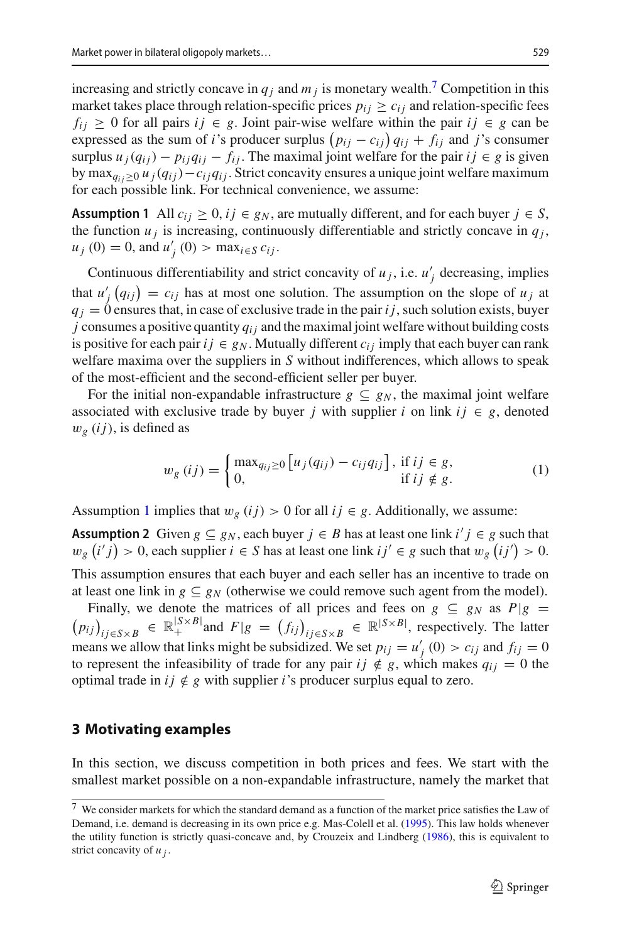increasing and strictly concave in  $q_i$  and  $m_j$  is monetary wealth.<sup>7</sup> Competition in this market takes place through relation-specific prices  $p_{ij} \geq c_{ij}$  and relation-specific fees *f<sub>ij</sub>* ≥ 0 for all pairs *ij* ∈ *g*. Joint pair-wise welfare within the pair *ij* ∈ *g* can be expressed as the sum of *i*'s producer surplus  $(p_{ij} - c_{ij}) q_{ij} + f_{ij}$  and *j*'s consumer surplus  $u_j(q_{ij}) - p_{ij}q_{ij} - f_{ij}$ . The maximal joint welfare for the pair  $ij \in g$  is given by max<sub>qii≥0</sub>  $u_j(q_{ij})-c_{ij}q_{ij}$ . Strict concavity ensures a unique joint welfare maximum for each possible link. For technical convenience, we assume:

<span id="page-4-2"></span>**Assumption 1** All  $c_{ij} \geq 0$ ,  $ij \in g_N$ , are mutually different, and for each buyer  $j \in S$ , the function  $u_j$  is increasing, continuously differentiable and strictly concave in  $q_j$ ,  $u_j(0) = 0$ , and  $u'_j(0) > \max_{i \in S} c_{ij}$ .

Continuous differentiability and strict concavity of  $u_j$ , i.e.  $u'_j$  decreasing, implies that  $u'_{j}(q_{ij}) = c_{ij}$  has at most one solution. The assumption on the slope of  $u_j$  at  $q_i = 0$  ensures that, in case of exclusive trade in the pair *i j*, such solution exists, buyer  $j$  consumes a positive quantity  $q_{ij}$  and the maximal joint welfare without building costs is positive for each pair  $ij \in g_N$ . Mutually different  $c_{ij}$  imply that each buyer can rank welfare maxima over the suppliers in *S* without indifferences, which allows to speak of the most-efficient and the second-efficient seller per buyer.

For the initial non-expandable infrastructure  $g \subseteq g_N$ , the maximal joint welfare associated with exclusive trade by buyer *j* with supplier *i* on link  $ij \in g$ , denoted  $w_g$  (*i j*), is defined as

<span id="page-4-3"></span>
$$
w_g(ij) = \begin{cases} \max_{q_{ij} \ge 0} \left[ u_j(q_{ij}) - c_{ij} q_{ij} \right], & \text{if } ij \in g, \\ 0, & \text{if } ij \notin g. \end{cases}
$$
 (1)

Assumption [1](#page-4-2) implies that  $w_g(ij) > 0$  for all  $ij \in g$ . Additionally, we assume:

**Assumption 2** Given  $g \subseteq g_N$ , each buyer  $j \in B$  has at least one link  $i'j \in g$  such that  $w_g(i'j) > 0$ , each supplier  $i \in S$  has at least one link  $ij' \in g$  such that  $w_g(ij') > 0$ . This assumption ensures that each buyer and each seller has an incentive to trade on

at least one link in *g*  $\subseteq$  *g<sub>N</sub>* (otherwise we could remove such agent from the model).<br>Finally, we denote the matrices of all prices and fees on *g*  $\subseteq$  *g<sub>N</sub>* as *P*|*g* = Finally, we denote the matrices of all prices and fees on  $g \subseteq g_N$  as  $P|g = (p_{ij})_{ij \in S \times B} \in \mathbb{R}_+^{|S \times B|}$  and  $F|g = (f_{ij})_{ij \in S \times B} \in \mathbb{R}^{|S \times B|}$ , respectively. The latter  $(p_{ij})_{ij \in S \times B} \in \mathbb{R}^{|S \times B|}$  and  $F|g = (f_{ij})_{ij \in S \times B} \in \mathbb{R}^{|S \times B|}$ , respectively. The latter

means we allow that links might be subsidized. We set  $p_{ij} = u'_{j}(0) > c_{ij}$  and  $f_{ij} = 0$ to represent the infeasibility of trade for any pair  $ij \notin g$ , which makes  $q_{ij} = 0$  the optimal trade in  $ij \notin g$  with supplier *i*'s producer surplus equal to zero.

## <span id="page-4-0"></span>**3 Motivating examples**

In this section, we discuss competition in both prices and fees. We start with the smallest market possible on a non-expandable infrastructure, namely the market that

<span id="page-4-1"></span><sup>7</sup> We consider markets for which the standard demand as a function of the market price satisfies the Law of Demand, i.e. demand is decreasing in its own price e.g. Mas-Colell et al[.](#page-21-15) [\(1995](#page-21-15)). This law holds whenever the utility function is strictly quasi-concave and, by Crouzeix and Lindber[g](#page-21-16) [\(1986](#page-21-16)), this is equivalent to strict concavity of *u j* .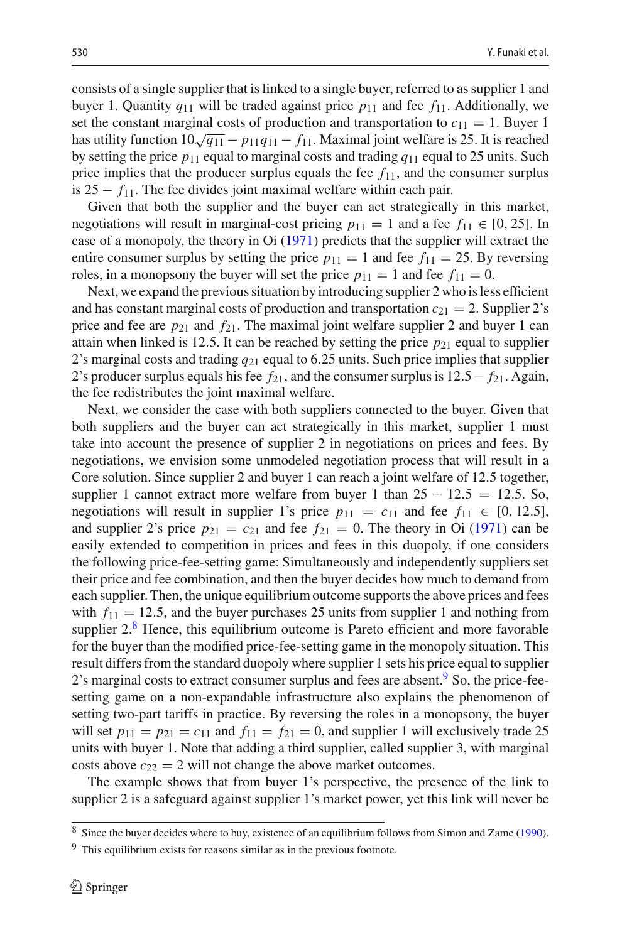consists of a single supplier that is linked to a single buyer, referred to as supplier 1 and buyer 1. Quantity  $q_{11}$  will be traded against price  $p_{11}$  and fee  $f_{11}$ . Additionally, we set the constant marginal costs of production and transportation to  $c_{11} = 1$ . Buyer 1 has utility function  $10\sqrt{q_{11}} - p_{11}q_{11} - f_{11}$ . Maximal joint welfare is 25. It is reached by setting the price  $p_{11}$  equal to marginal costs and trading  $q_{11}$  equal to 25 units. Such price implies that the producer surplus equals the fee  $f_{11}$ , and the consumer surplus is 25 − *f*11. The fee divides joint maximal welfare within each pair.

Given that both the supplier and the buyer can act strategically in this market, negotiations will result in marginal-cost pricing  $p_{11} = 1$  and a fee  $f_{11} \in [0, 25]$ . In case of a monopoly, the theory in O[i](#page-21-9) [\(1971\)](#page-21-9) predicts that the supplier will extract the entire consumer surplus by setting the price  $p_{11} = 1$  and fee  $f_{11} = 25$ . By reversing roles, in a monopsony the buyer will set the price  $p_{11} = 1$  and fee  $f_{11} = 0$ .

Next, we expand the previous situation by introducing supplier 2 who is less efficient and has constant marginal costs of production and transportation  $c_{21} = 2$ . Supplier 2's price and fee are  $p_{21}$  and  $f_{21}$ . The maximal joint welfare supplier 2 and buyer 1 can attain when linked is 12.5. It can be reached by setting the price  $p_{21}$  equal to supplier 2's marginal costs and trading *q*<sup>21</sup> equal to 6.25 units. Such price implies that supplier 2's producer surplus equals his fee  $f_{21}$ , and the consumer surplus is 12.5−  $f_{21}$ . Again, the fee redistributes the joint maximal welfare.

Next, we consider the case with both suppliers connected to the buyer. Given that both suppliers and the buyer can act strategically in this market, supplier 1 must take into account the presence of supplier 2 in negotiations on prices and fees. By negotiations, we envision some unmodeled negotiation process that will result in a Core solution. Since supplier 2 and buyer 1 can reach a joint welfare of 12.5 together, supplier 1 cannot extract more welfare from buyer 1 than  $25 - 12.5 = 12.5$ . So, negotiations will result in supplier 1's price  $p_{11} = c_{11}$  and fee  $f_{11} \in [0, 12.5]$ , and suppl[i](#page-21-9)er 2's price  $p_{21} = c_{21}$  and fee  $f_{21} = 0$ . The theory in Oi [\(1971](#page-21-9)) can be easily extended to competition in prices and fees in this duopoly, if one considers the following price-fee-setting game: Simultaneously and independently suppliers set their price and fee combination, and then the buyer decides how much to demand from each supplier. Then, the unique equilibrium outcome supports the above prices and fees with  $f_{11} = 12.5$ , and the buyer purchases 25 units from supplier 1 and nothing from supplier  $2.\overline{8}$  $2.\overline{8}$  $2.\overline{8}$  Hence, this equilibrium outcome is Pareto efficient and more favorable for the buyer than the modified price-fee-setting game in the monopoly situation. This result differs from the standard duopoly where supplier 1 sets his price equal to supplier 2's marginal costs to extract consumer surplus and fees are absent.<sup>[9](#page-5-1)</sup> So, the price-feesetting game on a non-expandable infrastructure also explains the phenomenon of setting two-part tariffs in practice. By reversing the roles in a monopsony, the buyer will set  $p_{11} = p_{21} = c_{11}$  and  $f_{11} = f_{21} = 0$ , and supplier 1 will exclusively trade 25 units with buyer 1. Note that adding a third supplier, called supplier 3, with marginal costs above  $c_{22} = 2$  will not change the above market outcomes.

The example shows that from buyer 1's perspective, the presence of the link to supplier 2 is a safeguard against supplier 1's market power, yet this link will never be

<span id="page-5-0"></span><sup>8</sup> Since the buyer decides where to buy, existence of an equilibrium follows from Simon and Zam[e](#page-21-17) [\(1990](#page-21-17)).

<span id="page-5-1"></span><sup>&</sup>lt;sup>9</sup> This equilibrium exists for reasons similar as in the previous footnote.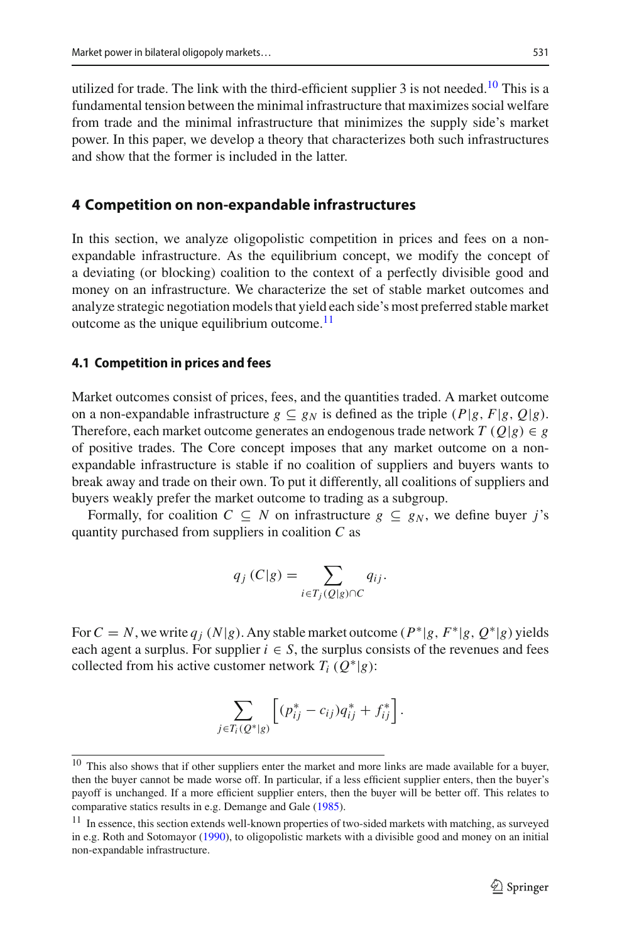utilized for trade. The link with the third-efficient supplier 3 is not needed.<sup>[10](#page-6-1)</sup> This is a fundamental tension between the minimal infrastructure that maximizes social welfare from trade and the minimal infrastructure that minimizes the supply side's market power. In this paper, we develop a theory that characterizes both such infrastructures and show that the former is included in the latter.

## <span id="page-6-0"></span>**4 Competition on non-expandable infrastructures**

In this section, we analyze oligopolistic competition in prices and fees on a nonexpandable infrastructure. As the equilibrium concept, we modify the concept of a deviating (or blocking) coalition to the context of a perfectly divisible good and money on an infrastructure. We characterize the set of stable market outcomes and analyze strategic negotiation models that yield each side's most preferred stable market outcome as the unique equilibrium outcome. $<sup>11</sup>$ </sup>

#### **4.1 Competition in prices and fees**

Market outcomes consist of prices, fees, and the quantities traded. A market outcome on a non-expandable infrastructure  $g \subseteq g_N$  is defined as the triple  $(P|g, F|g, Q|g)$ . Therefore, each market outcome generates an endogenous trade network  $T(Q|g) \in g$ of positive trades. The Core concept imposes that any market outcome on a nonexpandable infrastructure is stable if no coalition of suppliers and buyers wants to break away and trade on their own. To put it differently, all coalitions of suppliers and buyers weakly prefer the market outcome to trading as a subgroup.

Formally, for coalition  $C \subseteq N$  on infrastructure  $g \subseteq g_N$ , we define buyer *j*'s quantity purchased from suppliers in coalition *C* as

$$
q_j(C|g) = \sum_{i \in T_j(Q|g) \cap C} q_{ij}.
$$

For  $C = N$ , we write  $q_j$  ( $N|g$ ). Any stable market outcome ( $P^*|g, F^*|g, Q^*|g$ ) yields each agent a surplus. For supplier  $i \in S$ , the surplus consists of the revenues and fees collected from his active customer network  $T_i$  ( $Q^*|g$ ):

$$
\sum_{j \in T_i(Q^*|g)} \left[ (p_{ij}^* - c_{ij}) q_{ij}^* + f_{ij}^* \right].
$$

<span id="page-6-1"></span> $10$  This also shows that if other suppliers enter the market and more links are made available for a buyer, then the buyer cannot be made worse off. In particular, if a less efficient supplier enters, then the buyer's payoff is unchanged. If a more efficient supplier enters, then the buyer will be better off. This relates to comparative statics results in e.g. Demange and Gal[e](#page-21-18) [\(1985\)](#page-21-18).

<span id="page-6-2"></span><sup>&</sup>lt;sup>11</sup> In essence, this section extends well-known properties of two-sided markets with matching, as surveyed in e.g. Roth and Sotomayo[r](#page-21-12) [\(1990](#page-21-12)), to oligopolistic markets with a divisible good and money on an initial non-expandable infrastructure.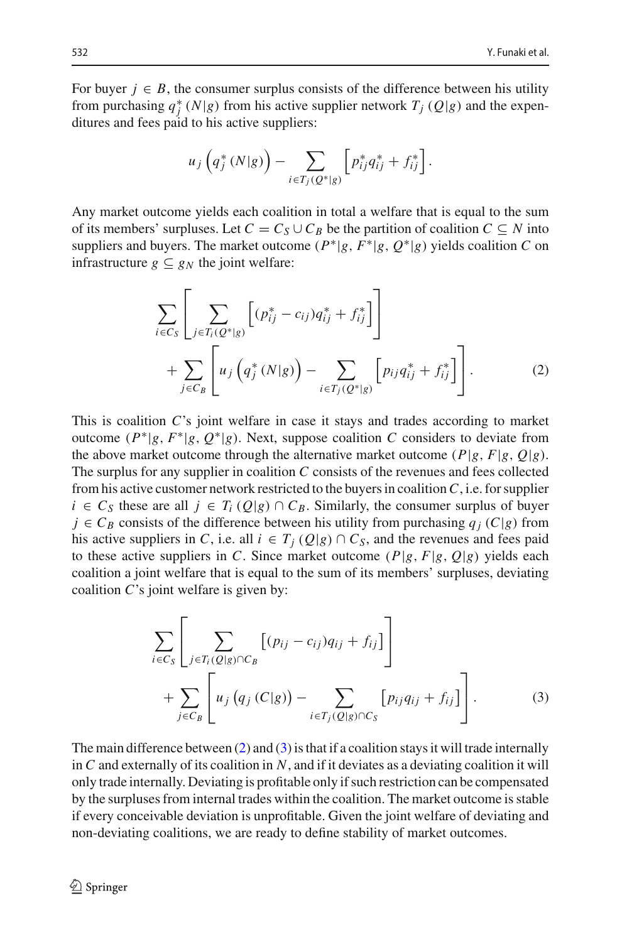For buyer  $j \in B$ , the consumer surplus consists of the difference between his utility from purchasing  $q_j^*(N|g)$  from his active supplier network  $T_j(Q|g)$  and the expenditures and fees paid to his active suppliers:

$$
u_j\left(q_j^*(N|g)\right) - \sum_{i \in T_j(Q^*|g)} \left[p_{ij}^*q_{ij}^* + f_{ij}^*\right].
$$

Any market outcome yields each coalition in total a welfare that is equal to the sum of its members' surpluses. Let  $C = C_S \cup C_B$  be the partition of coalition  $C \subseteq N$  into suppliers and buyers. The market outcome  $(P^*|g, F^*|g, Q^*|g)$  yields coalition *C* on infrastructure  $g \subseteq g_N$  the joint welfare:

<span id="page-7-0"></span>
$$
\sum_{i \in C_S} \left[ \sum_{j \in T_i(Q^*|_S)} \left[ (p_{ij}^* - c_{ij}) q_{ij}^* + f_{ij}^* \right] \right] + \sum_{j \in C_B} \left[ u_j \left( q_j^*(N|_S) \right) - \sum_{i \in T_j(Q^*|_S)} \left[ p_{ij} q_{ij}^* + f_{ij}^* \right] \right].
$$
\n(2)

This is coalition *C*'s joint welfare in case it stays and trades according to market outcome  $(P^*|g, F^*|g, Q^*|g)$ . Next, suppose coalition *C* considers to deviate from the above market outcome through the alternative market outcome  $(P|g, F|g, Q|g)$ . The surplus for any supplier in coalition *C* consists of the revenues and fees collected from his active customer network restricted to the buyers in coalition*C*, i.e. for supplier *i* ∈  $C_S$  these are all *j* ∈  $T_i$  ( $Q|g$ ) ∩  $C_B$ . Similarly, the consumer surplus of buyer  $j \in C_B$  consists of the difference between his utility from purchasing  $q_j(C|g)$  from his active suppliers in *C*, i.e. all  $i \in T_j(Q|g) \cap C_S$ , and the revenues and fees paid to these active suppliers in *C*. Since market outcome  $(P|g, F|g, Q|g)$  yields each coalition a joint welfare that is equal to the sum of its members' surpluses, deviating coalition *C*'s joint welfare is given by:

<span id="page-7-1"></span>
$$
\sum_{i \in C_S} \left[ \sum_{j \in T_i(Q|g) \cap C_B} \left[ (p_{ij} - c_{ij}) q_{ij} + f_{ij} \right] \right] + \sum_{j \in C_B} \left[ u_j \left( q_j \left( C|g \right) \right) - \sum_{i \in T_j(Q|g) \cap C_S} \left[ p_{ij} q_{ij} + f_{ij} \right] \right].
$$
\n(3)

<span id="page-7-2"></span>The main difference between  $(2)$  and  $(3)$  is that if a coalition stays it will trade internally in *C* and externally of its coalition in *N*, and if it deviates as a deviating coalition it will only trade internally. Deviating is profitable only if such restriction can be compensated by the surpluses from internal trades within the coalition. The market outcome is stable if every conceivable deviation is unprofitable. Given the joint welfare of deviating and non-deviating coalitions, we are ready to define stability of market outcomes.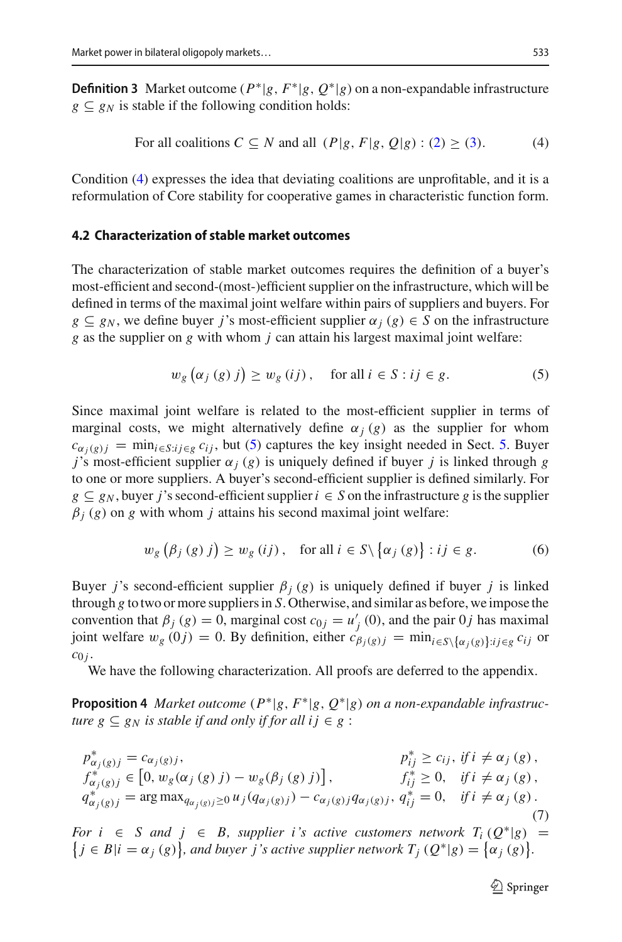**Definition 3** Market outcome  $(P^*|g, F^*|g, Q^*|g)$  on a non-expandable infrastructure  $g \nightharpoonup g_N$  is stable if the following condition holds:

<span id="page-8-0"></span>For all coalitions 
$$
C \subseteq N
$$
 and all  $(P|g, F|g, Q|g) : (2) \ge (3)$ . (4)

Condition [\(4\)](#page-8-0) expresses the idea that deviating coalitions are unprofitable, and it is a reformulation of Core stability for cooperative games in characteristic function form.

#### **4.2 Characterization of stable market outcomes**

The characterization of stable market outcomes requires the definition of a buyer's most-efficient and second-(most-)efficient supplier on the infrastructure, which will be defined in terms of the maximal joint welfare within pairs of suppliers and buyers. For  $g \subseteq g_N$ , we define buyer *j*'s most-efficient supplier  $\alpha_j(g) \in S$  on the infrastructure *g* as the supplier on *g* with whom *j* can attain his largest maximal joint welfare:

<span id="page-8-1"></span>
$$
w_g\left(\alpha_j\left(g\right)j\right) \ge w_g\left(ij\right), \quad \text{for all } i \in S : ij \in g. \tag{5}
$$

Since maximal joint welfare is related to the most-efficient supplier in terms of marginal costs, we might alternatively define  $\alpha_j$  (*g*) as the supplier for whom  $c_{\alpha_i(g)j}$  = min<sub>i∈S</sub>:*i*<sub>i∈*g*</sub>  $c_{ij}$ , but [\(5\)](#page-8-1) captures the key insight needed in Sect. [5.](#page-15-0) Buyer *j*'s most-efficient supplier  $\alpha_j$  (*g*) is uniquely defined if buyer *j* is linked through *g* to one or more suppliers. A buyer's second-efficient supplier is defined similarly. For  $g \subseteq g_N$ , buyer *j*'s second-efficient supplier  $i \in S$  on the infrastructure g is the supplier  $\beta$ <sub>*j*</sub> (*g*) on *g* with whom *j* attains his second maximal joint welfare:

$$
w_g\left(\beta_j\left(g\right)j\right) \ge w_g\left(ij\right), \quad \text{for all } i \in S \setminus \left\{\alpha_j\left(g\right)\right\} : ij \in g. \tag{6}
$$

Buyer *j*'s second-efficient supplier  $\beta$ <sub>*j*</sub> (*g*) is uniquely defined if buyer *j* is linked through *g* to two or more suppliers in *S*. Otherwise, and similar as before, we impose the convention that  $\beta_j$  (*g*) = 0, marginal cost  $c_{0j} = u'_j$  (0), and the pair 0*j* has maximal joint welfare  $w_g(0j) = 0$ . By definition, either  $c_{\beta_j(g)j} = \min_{i \in S \setminus {\{\alpha_j(g)\}} : i \in g} c_{ij}$  or  $c_{0 i}$ .

<span id="page-8-2"></span>We have the following characterization. All proofs are deferred to the appendix.

**Proposition 4** *Market outcome* (*P*∗|*g*, *F*∗|*g*, *Q*∗|*g*) *on a non-expandable infrastructure*  $g \subseteq g_N$  *is stable if and only if for all i*  $j \in g$ :

$$
p_{\alpha_j(g)j}^* = c_{\alpha_j(g)j},
$$
  
\n
$$
p_{ij}^* \ge c_{ij}, \text{ if } i \neq \alpha_j(g),
$$
  
\n
$$
f_{\alpha_j(g)j}^* \in [0, w_g(\alpha_j(g) j) - w_g(\beta_j(g) j)],
$$
  
\n
$$
q_{\alpha_j(g)j}^* = \arg \max_{q_{\alpha_j(g)j} \ge 0} u_j(q_{\alpha_j(g)j}) - c_{\alpha_j(g)j}q_{\alpha_j(g)j},
$$
  
\n
$$
q_{ij}^* = 0, \text{ if } i \neq \alpha_j(g).
$$
  
\n(7)

For  $i \in S$  and  $j \in B$ , supplier *i*'s active customers network  $T_i(Q^*|g) = \{j \in B | i = \alpha_j(g)\}$ , and buyer *j*'s active supplier network  $T_j(Q^*|g) = \{\alpha_j(g)\}$ .

 $\bigcirc$  Springer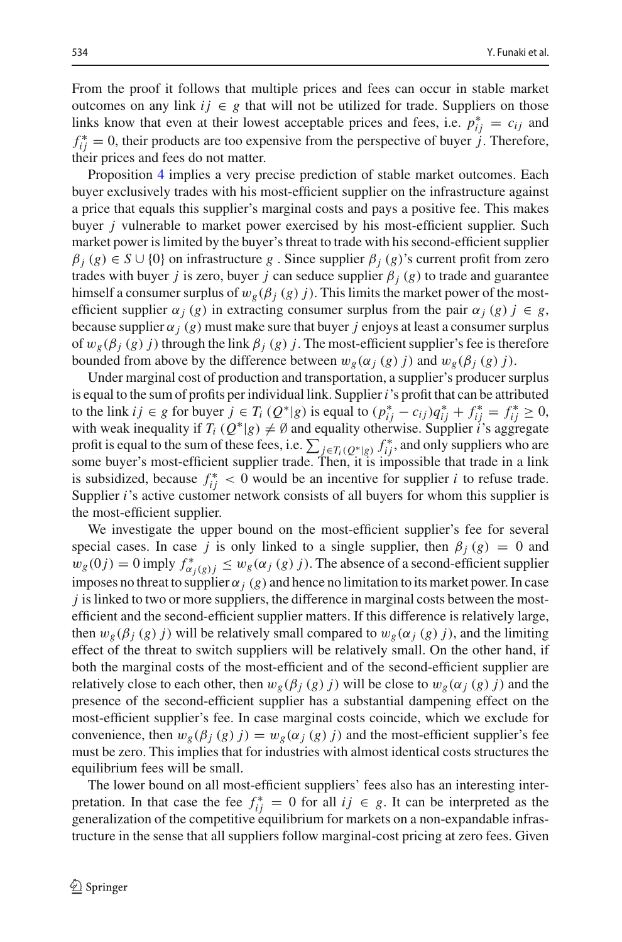From the proof it follows that multiple prices and fees can occur in stable market outcomes on any link  $ij \in g$  that will not be utilized for trade. Suppliers on those links know that even at their lowest acceptable prices and fees, i.e.  $p_{ij}^* = c_{ij}$  and  $f_{ij}^* = 0$ , their products are too expensive from the perspective of buyer *j*. Therefore, their prices and fees do not matter.

Proposition [4](#page-8-2) implies a very precise prediction of stable market outcomes. Each buyer exclusively trades with his most-efficient supplier on the infrastructure against a price that equals this supplier's marginal costs and pays a positive fee. This makes buyer *j* vulnerable to market power exercised by his most-efficient supplier. Such market power is limited by the buyer's threat to trade with his second-efficient supplier  $\beta_i$  (*g*)  $\in$  *S*  $\cup$  {0} on infrastructure *g*. Since supplier  $\beta_i$  (*g*)'s current profit from zero trades with buyer *j* is zero, buyer *j* can seduce supplier β*<sup>j</sup>* (*g*) to trade and guarantee himself a consumer surplus of  $w_g(\beta_j(g) j)$ . This limits the market power of the mostefficient supplier  $\alpha_j$  (*g*) in extracting consumer surplus from the pair  $\alpha_j$  (*g*)  $j \in g$ , because supplier  $\alpha_j$  (*g*) must make sure that buyer *j* enjoys at least a consumer surplus of  $w_g(\beta_i(g) j)$  through the link  $\beta_i(g) j$ . The most-efficient supplier's fee is therefore bounded from above by the difference between  $w_g(\alpha_j(g) j)$  and  $w_g(\beta_j(g) j)$ .

Under marginal cost of production and transportation, a supplier's producer surplus is equal to the sum of profits per individual link. Supplier*i*'s profit that can be attributed to the link *i j* ∈ *g* for buyer *j* ∈ *T<sub>i</sub>* ( $Q^*|g$ ) is equal to  $(p^*_{ij} - c_{ij})q^*_{ij} + f^*_{ij} = f^*_{ij} \ge 0$ , with weak inequality if  $T_i(Q^*|g) \neq \emptyset$  and equality otherwise. Supplier *i*'s aggregate profit is equal to the sum of these fees, i.e.  $\sum_{j \in T_i(Q^*) \mid g_j} f^*_{ij}$ , and only suppliers who are some buyer's most-efficient supplier trade. Then, it is impossible that trade in a link is subsidized, because  $f_{ij}^* < 0$  would be an incentive for supplier *i* to refuse trade. Supplier *i*'s active customer network consists of all buyers for whom this supplier is the most-efficient supplier.

We investigate the upper bound on the most-efficient supplier's fee for several special cases. In case *j* is only linked to a single supplier, then  $\beta_i(g) = 0$  and  $w_g(0j) = 0$  imply  $f^*_{\alpha_j(g)j} \leq w_g(\alpha_j(g)j)$ . The absence of a second-efficient supplier imposes no threat to supplier  $\alpha_j$  (*g*) and hence no limitation to its market power. In case *j* is linked to two or more suppliers, the difference in marginal costs between the mostefficient and the second-efficient supplier matters. If this difference is relatively large, then  $w_g(\beta_j(g) j)$  will be relatively small compared to  $w_g(\alpha_j(g) j)$ , and the limiting effect of the threat to switch suppliers will be relatively small. On the other hand, if both the marginal costs of the most-efficient and of the second-efficient supplier are relatively close to each other, then  $w_g(\beta_j(g) j)$  will be close to  $w_g(\alpha_j(g) j)$  and the presence of the second-efficient supplier has a substantial dampening effect on the most-efficient supplier's fee. In case marginal costs coincide, which we exclude for convenience, then  $w_g(\beta_j(g)) = w_g(\alpha_j(g))$  and the most-efficient supplier's fee must be zero. This implies that for industries with almost identical costs structures the equilibrium fees will be small.

The lower bound on all most-efficient suppliers' fees also has an interesting interpretation. In that case the fee  $f_{ij}^* = 0$  for all  $ij \in g$ . It can be interpreted as the generalization of the competitive equilibrium for markets on a non-expandable infrastructure in the sense that all suppliers follow marginal-cost pricing at zero fees. Given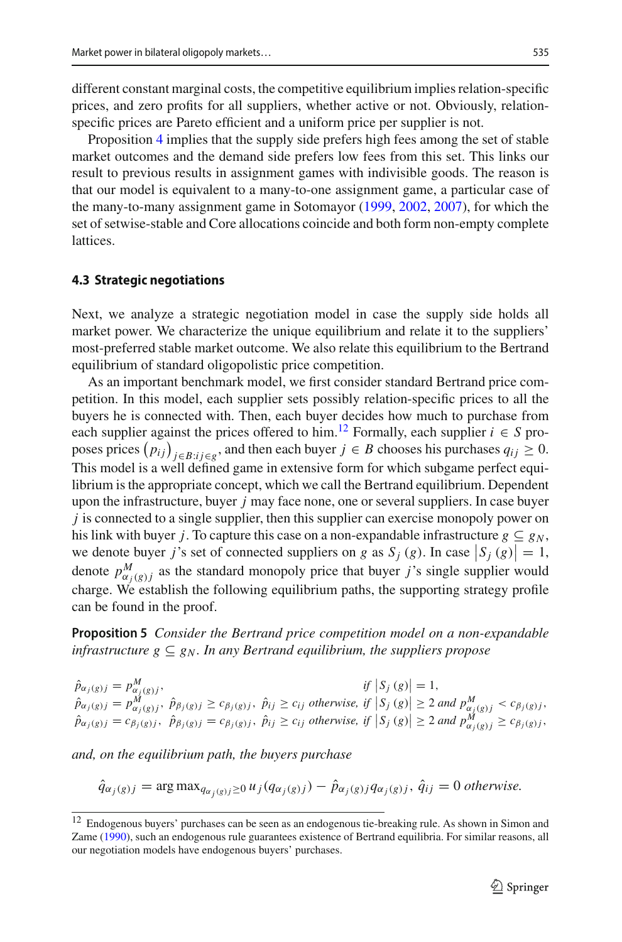different constant marginal costs, the competitive equilibrium implies relation-specific prices, and zero profits for all suppliers, whether active or not. Obviously, relationspecific prices are Pareto efficient and a uniform price per supplier is not.

Proposition [4](#page-8-2) implies that the supply side prefers high fees among the set of stable market outcomes and the demand side prefers low fees from this set. This links our result to previous results in assignment games with indivisible goods. The reason is that our model is equivalent to a many-to-one assignment game, a particular case of the many-to-many assignment game in Sotomayor [\(1999](#page-21-6), [2002,](#page-21-7) [2007\)](#page-21-8), for which the set of setwise-stable and Core allocations coincide and both form non-empty complete lattices.

#### **4.3 Strategic negotiations**

Next, we analyze a strategic negotiation model in case the supply side holds all market power. We characterize the unique equilibrium and relate it to the suppliers' most-preferred stable market outcome. We also relate this equilibrium to the Bertrand equilibrium of standard oligopolistic price competition.

As an important benchmark model, we first consider standard Bertrand price competition. In this model, each supplier sets possibly relation-specific prices to all the buyers he is connected with. Then, each buyer decides how much to purchase from each supplier against the prices offered to him.<sup>12</sup> Formally, each supplier  $i \in S$  proposes prices  $(p_{ij})_{j \in B: i j \in g}$ , and then each buyer  $j \in B$  chooses his purchases  $q_{ij} \ge 0$ . This model is a well defined game in extensive form for which subgame perfect equilibrium is the appropriate concept, which we call the Bertrand equilibrium. Dependent upon the infrastructure, buyer *j* may face none, one or several suppliers. In case buyer *j* is connected to a single supplier, then this supplier can exercise monopoly power on his link with buyer *j*. To capture this case on a non-expandable infrastructure  $g \subseteq g_N$ , we denote buyer *j*'s set of connected suppliers on *g* as  $S_j$  (*g*). In case  $|S_j$  (*g*) = 1, denote  $p_{\alpha_j(g)j}^M$  as the standard monopoly price that buyer *j*'s single supplier would charge. We establish the following equilibrium paths, the supporting strategy profile can be found in the proof.

<span id="page-10-1"></span>**Proposition 5** *Consider the Bertrand price competition model on a non-expandable infrastructure*  $g \subseteq g_N$ *. In any Bertrand equilibrium, the suppliers propose* 

 $\hat{p}_{\alpha_j(g)j} = p_{\alpha_j(g)j}^M,$  *if*  $|S_j(g)| = 1$ ,  $\hat{p}_{\alpha_j(g)j} = p_{\alpha_j(g)j}^M$ ,  $\hat{p}_{\beta_j(g)j} \ge c_{\beta_j(g)j}$ ,  $\hat{p}_{ij} \ge c_{ij}$  otherwise, if  $|S_j(g)| \ge 2$  and  $p_{\alpha_j(g)j}^M < c_{\beta_j(g)j}$ ,  $\hat{p}_{\alpha_j(g)j} = c_{\beta_j(g)j}, \ \hat{p}_{\beta_j(g)j} = c_{\beta_j(g)j}, \ \hat{p}_{ij} \ge c_{ij}$  otherwise, if  $|S_j(g)| \ge 2$  and  $p_{\alpha_j(g)j}^M \ge c_{\beta_j(g)j}$ ,

*and, on the equilibrium path, the buyers purchase*

 $\hat{q}_{\alpha_j(g)j} = \arg \max_{q_{\alpha_i(g)j} \geq 0} u_j(q_{\alpha_j(g)j}) - \hat{p}_{\alpha_j(g)j}q_{\alpha_j(g)j}, \hat{q}_{ij} = 0$  otherwise.

<span id="page-10-0"></span><sup>12</sup> Endogenous buyers' purchases can be seen as an endogenous tie-breaking rule. As shown in Simon and Zam[e](#page-21-17) [\(1990](#page-21-17)), such an endogenous rule guarantees existence of Bertrand equilibria. For similar reasons, all our negotiation models have endogenous buyers' purchases.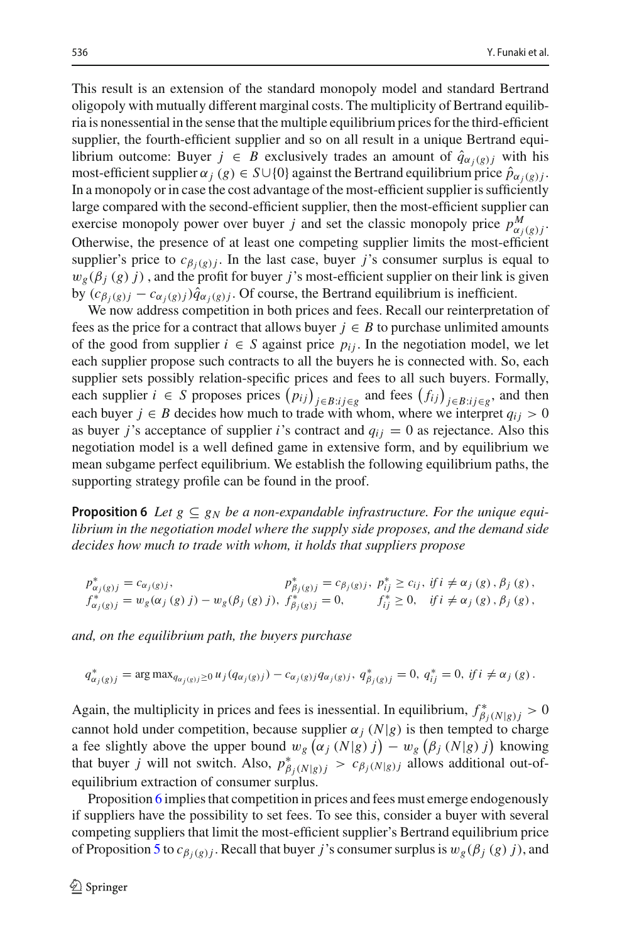This result is an extension of the standard monopoly model and standard Bertrand oligopoly with mutually different marginal costs. The multiplicity of Bertrand equilibria is nonessential in the sense that the multiple equilibrium prices for the third-efficient supplier, the fourth-efficient supplier and so on all result in a unique Bertrand equilibrium outcome: Buyer  $j \in B$  exclusively trades an amount of  $\hat{q}_{\alpha_i(g)j}$  with his most-efficient supplier  $\alpha_j$  (*g*)  $\in S \cup \{0\}$  against the Bertrand equilibrium price  $\hat{p}_{\alpha_i(g)}$ . In a monopoly or in case the cost advantage of the most-efficient supplier is sufficiently large compared with the second-efficient supplier, then the most-efficient supplier can exercise monopoly power over buyer *j* and set the classic monopoly price  $p_{\alpha_j(g)j}^M$ . Otherwise, the presence of at least one competing supplier limits the most-efficient supplier's price to  $c_{\beta_i(g)j}$ . In the last case, buyer *j*'s consumer surplus is equal to  $w_{\varrho}(\beta_i(g), j)$ , and the profit for buyer *j*'s most-efficient supplier on their link is given by  $(c_{\beta_j(g)j} - c_{\alpha_j(g)j})\hat{q}_{\alpha_j(g)j}$ . Of course, the Bertrand equilibrium is inefficient.

We now address competition in both prices and fees. Recall our reinterpretation of fees as the price for a contract that allows buyer  $j \in B$  to purchase unlimited amounts of the good from supplier  $i \in S$  against price  $p_{ij}$ . In the negotiation model, we let each supplier propose such contracts to all the buyers he is connected with. So, each supplier sets possibly relation-specific prices and fees to all such buyers. Formally, each supplier *i* ∈ *S* proposes prices  $(p_{ij})_{j \in B: i j \in g}$  and fees  $(f_{ij})_{j \in B: i j \in g}$ , and then each buyer *j* ∈ *B* decides how much to trade with whom, where we interpret  $q_{ij} > 0$ as buyer *j*'s acceptance of supplier *i*'s contract and  $q_{ij} = 0$  as rejectance. Also this negotiation model is a well defined game in extensive form, and by equilibrium we mean subgame perfect equilibrium. We establish the following equilibrium paths, the supporting strategy profile can be found in the proof.

<span id="page-11-0"></span>**Proposition 6** Let  $g \subseteq g_N$  be a non-expandable infrastructure. For the unique equi*librium in the negotiation model where the supply side proposes, and the demand side decides how much to trade with whom, it holds that suppliers propose*

$$
p^*_{\alpha_j(g)j} = c_{\alpha_j(g)j},
$$
  
\n
$$
p^*_{\beta_j(g)j} = c_{\beta_j(g)j},
$$
  
\n
$$
p^*_{\beta_j(g)j} = c_{\beta_j(g)j},
$$
  
\n
$$
p^*_{\alpha_j(g)j} = c_{\beta_j(g)j},
$$
  
\n
$$
p^*_{\alpha_j(g)j} = c_{\beta_j(g)j},
$$
  
\n
$$
p^*_{\alpha_j(g)j} = c_{\beta_j(g)j},
$$
  
\n
$$
p^*_{\alpha_j(g)j} = c_{\beta_j(g)j},
$$
  
\n
$$
p^*_{\alpha_j(g)j} = c_{\beta_j(g)j},
$$
  
\n
$$
p^*_{\alpha_j(g)j} = c_{\beta_j(g)j},
$$
  
\n
$$
p^*_{\alpha_j(g)j} = c_{\beta_j(g)j},
$$
  
\n
$$
p^*_{\alpha_j(g)j} = c_{\beta_j(g)j},
$$
  
\n
$$
p^*_{\alpha_j(g)j} = c_{\beta_j(g)j},
$$
  
\n
$$
p^*_{\alpha_j(g)j} = c_{\beta_j(g)j},
$$
  
\n
$$
p^*_{\alpha_j(g)j} = c_{\beta_j(g)j},
$$
  
\n
$$
p^*_{\alpha_j(g)j} = c_{\beta_j(g)j},
$$
  
\n
$$
p^*_{\alpha_j(g)j} = c_{\beta_j(g)j},
$$
  
\n
$$
p^*_{\alpha_j(g)j} = c_{\beta_j(g)j},
$$
  
\n
$$
p^*_{\alpha_j(g)j} = c_{\beta_j(g)j},
$$
  
\n
$$
p^*_{\alpha_j(g)j} = c_{\beta_j(g)j},
$$
  
\n
$$
p^*_{\alpha_j(g)j} = c_{\beta_j(g)j},
$$
  
\n
$$
p^*_{\alpha_j(g)j} = c_{\beta_j(g)j},
$$
  
\n
$$
p^*_{\alpha_j(g)j} = c_{\beta_j(g)j},
$$
  
\n
$$
p^*_{\alpha_j(g)j} = c_{\beta_j(g)j},
$$
  
\n

*and, on the equilibrium path, the buyers purchase*

$$
q_{\alpha_j(g)j}^* = \arg \max_{q_{\alpha_j(g)j} \ge 0} u_j(q_{\alpha_j(g)j}) - c_{\alpha_j(g)j} q_{\alpha_j(g)j}, q_{\beta_j(g)j}^* = 0, q_{ij}^* = 0, \text{ if } i \neq \alpha_j(g).
$$

Again, the multiplicity in prices and fees is inessential. In equilibrium,  $f^*_{\beta_j(N|g)} > 0$ cannot hold under competition, because supplier  $\alpha_j$  ( $N|g$ ) is then tempted to charge a fee slightly above the upper bound  $w_g(\alpha_j(N|g)j) - w_g(\beta_j(N|g)j)$  knowing that buyer *j* will not switch. Also,  $p^*_{\beta_j(N|g)} > c_{\beta_j(N|g)}$  allows additional out-ofequilibrium extraction of consumer surplus.

Proposition [6](#page-11-0) implies that competition in prices and fees must emerge endogenously if suppliers have the possibility to set fees. To see this, consider a buyer with several competing suppliers that limit the most-efficient supplier's Bertrand equilibrium price of Proposition [5](#page-10-1) to  $c_{\beta_i(g)}$ . Recall that buyer *j*'s consumer surplus is  $w_g(\beta_j(g))$ , and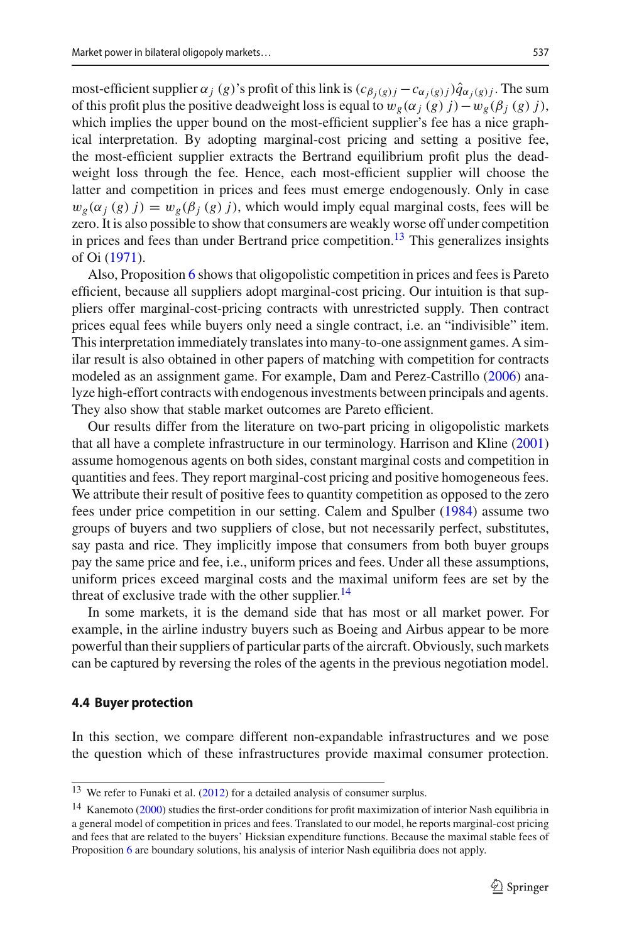most-efficient supplier  $\alpha_j$  (*g*)'s profit of this link is  $(c_{\beta_j(g)j} - c_{\alpha_j(g)j})\hat{q}_{\alpha_j(g)j}$ . The sum of this profit plus the positive deadweight loss is equal to  $w_g(\alpha_j(g) j) - w_g(\beta_j(g) j)$ , which implies the upper bound on the most-efficient supplier's fee has a nice graphical interpretation. By adopting marginal-cost pricing and setting a positive fee, the most-efficient supplier extracts the Bertrand equilibrium profit plus the deadweight loss through the fee. Hence, each most-efficient supplier will choose the latter and competition in prices and fees must emerge endogenously. Only in case  $w_g(\alpha_j(g) j) = w_g(\beta_j(g) j)$ , which would imply equal marginal costs, fees will be zero. It is also possible to show that consumers are weakly worse off under competition in prices and fees than under Bertrand price competition.<sup>[13](#page-12-0)</sup> This generalizes insights of O[i](#page-21-9) [\(1971](#page-21-9)).

Also, Proposition [6](#page-11-0) shows that oligopolistic competition in prices and fees is Pareto efficient, because all suppliers adopt marginal-cost pricing. Our intuition is that suppliers offer marginal-cost-pricing contracts with unrestricted supply. Then contract prices equal fees while buyers only need a single contract, i.e. an "indivisible" item. This interpretation immediately translates into many-to-one assignment games. A similar result is also obtained in other papers of matching with competition for contracts modeled as an assignment game. For example, Dam and Perez-Castrill[o](#page-21-13) [\(2006\)](#page-21-13) analyze high-effort contracts with endogenous investments between principals and agents. They also show that stable market outcomes are Pareto efficient.

Our results differ from the literature on two-part pricing in oligopolistic markets that all have a complete infrastructure in our terminology. Harrison and Klin[e](#page-21-11) [\(2001\)](#page-21-11) assume homogenous agents on both sides, constant marginal costs and competition in quantities and fees. They report marginal-cost pricing and positive homogeneous fees. We attribute their result of positive fees to quantity competition as opposed to the zero fees under price competition in our setting. Calem and Spulbe[r](#page-21-10) [\(1984](#page-21-10)) assume two groups of buyers and two suppliers of close, but not necessarily perfect, substitutes, say pasta and rice. They implicitly impose that consumers from both buyer groups pay the same price and fee, i.e., uniform prices and fees. Under all these assumptions, uniform prices exceed marginal costs and the maximal uniform fees are set by the threat of exclusive trade with the other supplier. $^{14}$ 

In some markets, it is the demand side that has most or all market power. For example, in the airline industry buyers such as Boeing and Airbus appear to be more powerful than their suppliers of particular parts of the aircraft. Obviously, such markets can be captured by reversing the roles of the agents in the previous negotiation model.

#### **4.4 Buyer protection**

In this section, we compare different non-expandable infrastructures and we pose the question which of these infrastructures provide maximal consumer protection.

<span id="page-12-0"></span> $13$  We refer to Funaki et al[.](#page-21-19) [\(2012\)](#page-21-19) for a detailed analysis of consumer surplus.

<span id="page-12-1"></span><sup>&</sup>lt;sup>14</sup> Kanem[o](#page-21-20)to [\(2000\)](#page-21-20) studies the first-order conditions for profit maximization of interior Nash equilibria in a general model of competition in prices and fees. Translated to our model, he reports marginal-cost pricing and fees that are related to the buyers' Hicksian expenditure functions. Because the maximal stable fees of Proposition [6](#page-11-0) are boundary solutions, his analysis of interior Nash equilibria does not apply.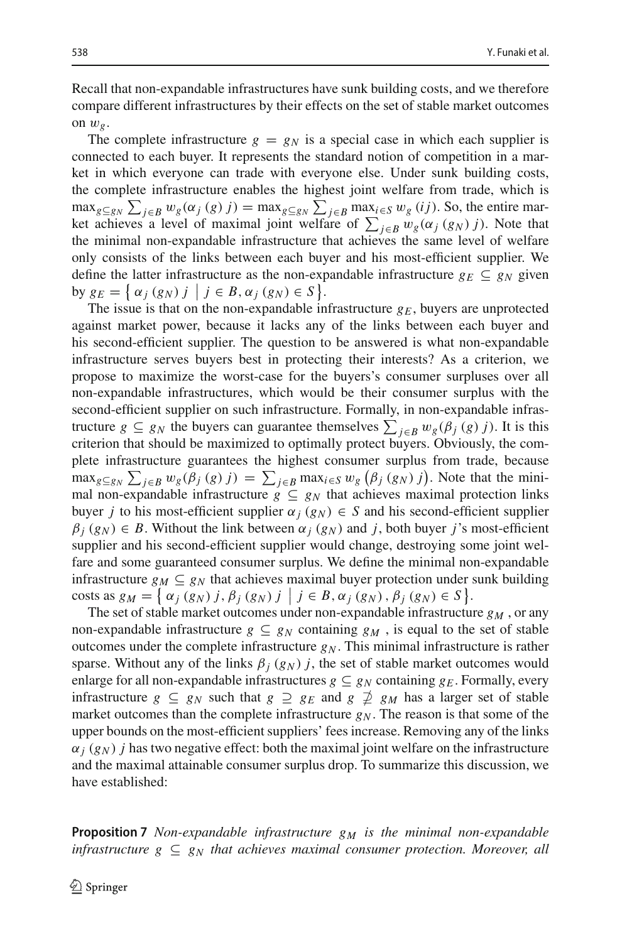Recall that non-expandable infrastructures have sunk building costs, and we therefore compare different infrastructures by their effects on the set of stable market outcomes on  $w_g$ .

The complete infrastructure  $g = g_N$  is a special case in which each supplier is connected to each buyer. It represents the standard notion of competition in a market in which everyone can trade with everyone else. Under sunk building costs, the complete infrastructure enables the highest joint welfare from trade, which is  $\max_{g \subseteq g_N} \sum_{j \in B} w_g(\alpha_j(g) j) = \max_{g \subseteq g_N} \sum_{j \in B} \max_{i \in S} w_g(ij)$ . So, the entire market achieves a level of maximal joint welfare of  $\sum_{j \in B} w_g(\alpha_j(g_N) j)$ . Note that the minimal non-expandable infrastructure that achieves the same level of welfare only consists of the links between each buyer and his most-efficient supplier. We define the latter infrastructure as the non-expandable infrastructure  $g_F \nsubseteq g_N$  given by  $g_E = \{\alpha_j (g_N) j \mid j \in B, \alpha_j (g_N) \in S \}.$ 

The issue is that on the non-expandable infrastructure  $g_E$ , buyers are unprotected against market power, because it lacks any of the links between each buyer and his second-efficient supplier. The question to be answered is what non-expandable infrastructure serves buyers best in protecting their interests? As a criterion, we propose to maximize the worst-case for the buyers's consumer surpluses over all non-expandable infrastructures, which would be their consumer surplus with the second-efficient supplier on such infrastructure. Formally, in non-expandable infrastructure  $g \subseteq g_N$  the buyers can guarantee themselves  $\sum_{j \in B} w_g(\beta_j(g) j)$ . It is this criterion that should be maximized to optimally protect buyers. Obviously, the complete infrastructure guarantees the highest consumer surplus from trade, because  $\max_{g \subseteq g_N} \sum_{j \in B} w_g(\beta_j(g) j) = \sum_{j \in B} \max_{i \in S} w_g(\beta_j(g_N) j)$ . Note that the minimal non-expandable infrastructure  $g \subseteq g_N$  that achieves maximal protection links buyer *j* to his most-efficient supplier  $\alpha_j$  ( $g_N$ )  $\in$  *S* and his second-efficient supplier  $\beta_i(g_N) \in B$ . Without the link between  $\alpha_j(g_N)$  and *j*, both buyer *j*'s most-efficient supplier and his second-efficient supplier would change, destroying some joint welfare and some guaranteed consumer surplus. We define the minimal non-expandable infrastructure  $g_M \subseteq g_N$  that achieves maximal buyer protection under sunk building costs as  $g_M = \{\alpha_j(g_N) j, \beta_j(g_N) j \mid j \in B, \alpha_j(g_N), \beta_j(g_N) \in S\}.$ 

The set of stable market outcomes under non-expandable infrastructure  $g_M$ , or any non-expandable infrastructure  $g \subseteq g_N$  containing  $g_M$ , is equal to the set of stable outcomes under the complete infrastructure  $g_N$ . This minimal infrastructure is rather sparse. Without any of the links  $\beta_i$  ( $g_N$ ) *j*, the set of stable market outcomes would enlarge for all non-expandable infrastructures  $g \subseteq g_N$  containing  $g_E$ . Formally, every infrastructure  $g \subseteq g_N$  such that  $g \supseteq g_E$  and  $g \not\supseteq g_M$  has a larger set of stable market outcomes than the complete infrastructure  $g_N$ . The reason is that some of the upper bounds on the most-efficient suppliers' fees increase. Removing any of the links  $\alpha_i(g_N)$  *j* has two negative effect: both the maximal joint welfare on the infrastructure and the maximal attainable consumer surplus drop. To summarize this discussion, we have established:

**Proposition 7** *Non-expandable infrastructure g<sub>M</sub> is the minimal non-expandable infrastructure*  $g \subseteq g_N$  *that achieves maximal consumer protection. Moreover, all*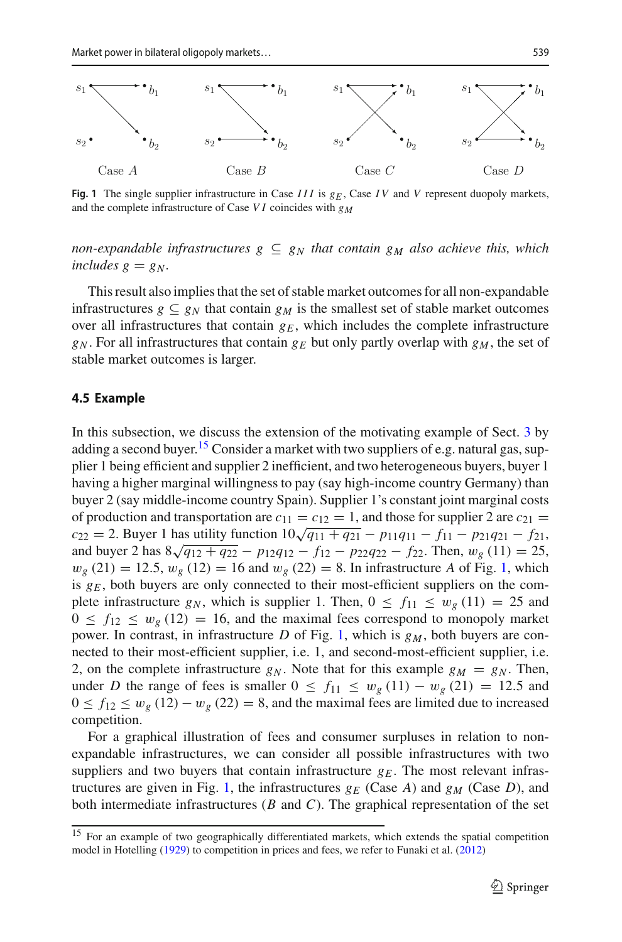

<span id="page-14-1"></span>**Fig. 1** The single supplier infrastructure in Case *III* is  $g_F$ , Case *IV* and *V* represent duopoly markets, and the complete infrastructure of Case *VI* coincides with  $g_M$ 

*non-expandable infrastructures*  $g \subseteq g_N$  *that contain*  $g_M$  *also achieve this, which includes g = g<sub>N</sub>*.

This result also implies that the set of stable market outcomes for all non-expandable infrastructures  $g \subseteq g_N$  that contain  $g_M$  is the smallest set of stable market outcomes over all infrastructures that contain  $g_E$ , which includes the complete infrastructure  $g_N$ . For all infrastructures that contain  $g_F$  but only partly overlap with  $g_M$ , the set of stable market outcomes is larger.

#### **4.5 Example**

In this subsection, we discuss the extension of the motivating example of Sect. [3](#page-4-0) by adding a second buyer.<sup>[15](#page-14-0)</sup> Consider a market with two suppliers of e.g. natural gas, supplier 1 being efficient and supplier 2 inefficient, and two heterogeneous buyers, buyer 1 having a higher marginal willingness to pay (say high-income country Germany) than buyer 2 (say middle-income country Spain). Supplier 1's constant joint marginal costs of production and transportation are  $c_{11} = c_{12} = 1$ , and those for supplier 2 are  $c_{21} =$  $c_{22} = 2$ . Buyer 1 has utility function  $10\sqrt{q_{11} + q_{21}} - p_{11}q_{11} - f_{11} - p_{21}q_{21} - f_{21}$ , and buyer 2 has  $8\sqrt{q_{12} + q_{22}} - p_{12}q_{12} - f_{12} - p_{22}q_{22} - f_{22}$ . Then,  $w_g(11) = 25$ ,  $w_g$  (21) = 12.5,  $w_g$  (12) = 16 and  $w_g$  (22) = 8. In infrastructure *A* of Fig. [1,](#page-14-1) which is  $g_E$ , both buyers are only connected to their most-efficient suppliers on the complete infrastructure  $g_N$ , which is supplier 1. Then,  $0 \le f_{11} \le w_g(11) = 25$  and  $0 \le f_{12} \le w_g(12) = 16$ , and the maximal fees correspond to monopoly market power. In contrast, in infrastructure  $D$  of Fig. [1,](#page-14-1) which is  $g_M$ , both buyers are connected to their most-efficient supplier, i.e. 1, and second-most-efficient supplier, i.e. 2, on the complete infrastructure  $g_N$ . Note that for this example  $g_M = g_N$ . Then, under *D* the range of fees is smaller  $0 \le f_{11} \le w_g(11) - w_g(21) = 12.5$  and  $0 \le f_{12} \le w_g (12) - w_g (22) = 8$ , and the maximal fees are limited due to increased competition.

For a graphical illustration of fees and consumer surpluses in relation to nonexpandable infrastructures, we can consider all possible infrastructures with two suppliers and two buyers that contain infrastructure  $g_E$ . The most relevant infras-tructures are given in Fig. [1,](#page-14-1) the infrastructures  $g_F$  (Case A) and  $g_M$  (Case D), and both intermediate infrastructures (*B* and *C*). The graphical representation of the set

<span id="page-14-0"></span><sup>&</sup>lt;sup>15</sup> For an example of two geographically differentiated markets, which extends the spatial competition model in Hotellin[g](#page-21-0) [\(1929\)](#page-21-0) to competition in prices and fees, we refer to Funaki et al[.](#page-21-19) [\(2012\)](#page-21-19)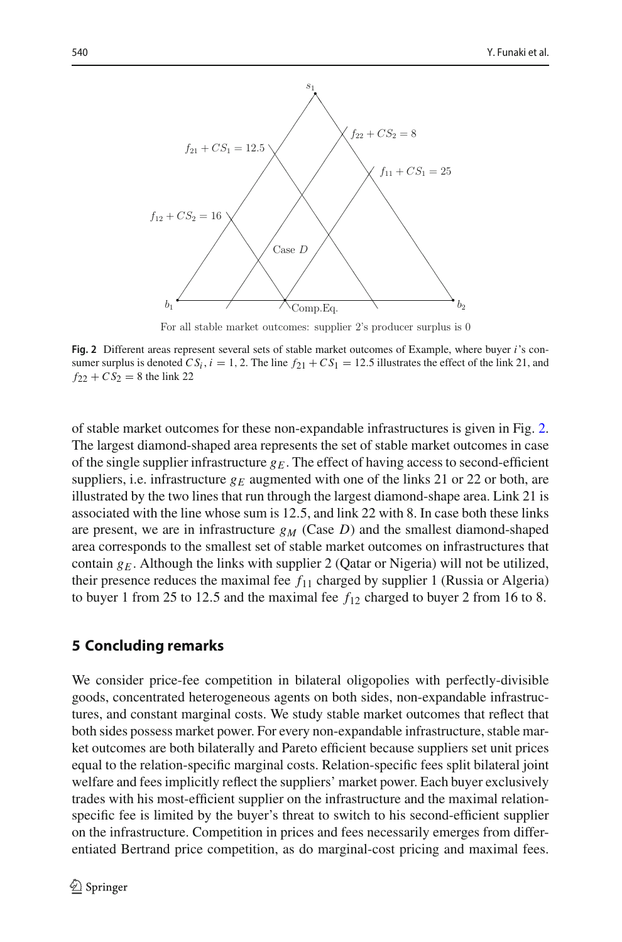

For all stable market outcomes: supplier 2's producer surplus is 0

<span id="page-15-1"></span>**Fig. 2** Different areas represent several sets of stable market outcomes of Example, where buyer *i*'s consumer surplus is denoted  $CS_i$ ,  $i = 1, 2$ . The line  $f_{21} + CS_1 = 12.5$  illustrates the effect of the link 21, and  $f_{22} + C S_2 = 8$  the link 22

of stable market outcomes for these non-expandable infrastructures is given in Fig. [2.](#page-15-1) The largest diamond-shaped area represents the set of stable market outcomes in case of the single supplier infrastructure  $g_E$ . The effect of having access to second-efficient suppliers, i.e. infrastructure  $g_E$  augmented with one of the links 21 or 22 or both, are illustrated by the two lines that run through the largest diamond-shape area. Link 21 is associated with the line whose sum is 12.5, and link 22 with 8. In case both these links are present, we are in infrastructure  $g_M$  (Case *D*) and the smallest diamond-shaped area corresponds to the smallest set of stable market outcomes on infrastructures that contain  $g_E$ . Although the links with supplier 2 (Qatar or Nigeria) will not be utilized, their presence reduces the maximal fee  $f_{11}$  charged by supplier 1 (Russia or Algeria) to buyer 1 from 25 to 12.5 and the maximal fee  $f_{12}$  charged to buyer 2 from 16 to 8.

## <span id="page-15-0"></span>**5 Concluding remarks**

We consider price-fee competition in bilateral oligopolies with perfectly-divisible goods, concentrated heterogeneous agents on both sides, non-expandable infrastructures, and constant marginal costs. We study stable market outcomes that reflect that both sides possess market power. For every non-expandable infrastructure, stable market outcomes are both bilaterally and Pareto efficient because suppliers set unit prices equal to the relation-specific marginal costs. Relation-specific fees split bilateral joint welfare and fees implicitly reflect the suppliers' market power. Each buyer exclusively trades with his most-efficient supplier on the infrastructure and the maximal relationspecific fee is limited by the buyer's threat to switch to his second-efficient supplier on the infrastructure. Competition in prices and fees necessarily emerges from differentiated Bertrand price competition, as do marginal-cost pricing and maximal fees.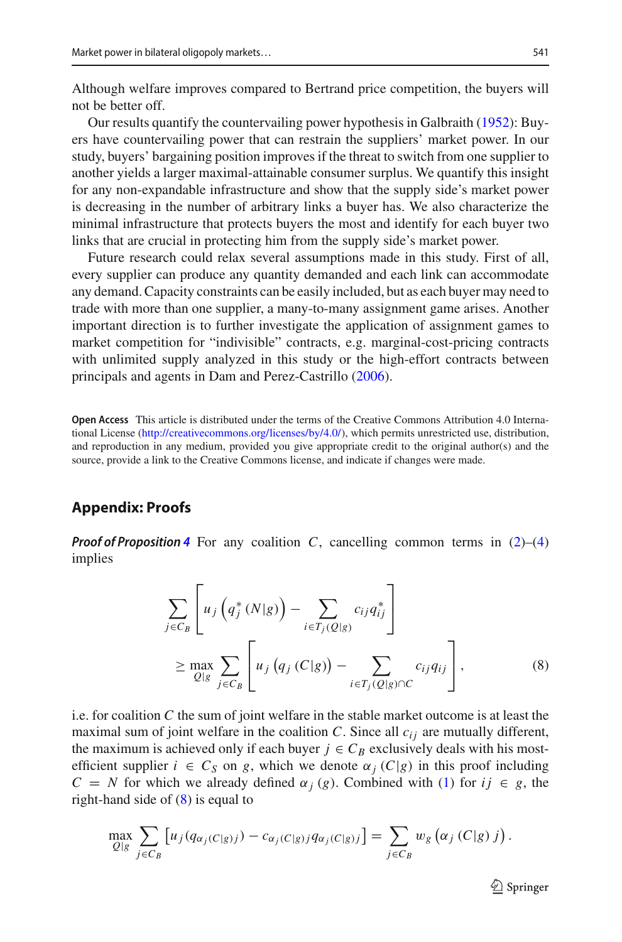Although welfare improves compared to Bertrand price competition, the buyers will not be better off.

Our results quantify the countervailing power hypothesis in Galbrait[h](#page-21-21) [\(1952](#page-21-21)): Buyers have countervailing power that can restrain the suppliers' market power. In our study, buyers' bargaining position improves if the threat to switch from one supplier to another yields a larger maximal-attainable consumer surplus. We quantify this insight for any non-expandable infrastructure and show that the supply side's market power is decreasing in the number of arbitrary links a buyer has. We also characterize the minimal infrastructure that protects buyers the most and identify for each buyer two links that are crucial in protecting him from the supply side's market power.

Future research could relax several assumptions made in this study. First of all, every supplier can produce any quantity demanded and each link can accommodate any demand. Capacity constraints can be easily included, but as each buyer may need to trade with more than one supplier, a many-to-many assignment game arises. Another important direction is to further investigate the application of assignment games to market competition for "indivisible" contracts, e.g. marginal-cost-pricing contracts with unlimited supply analyzed in this study or the high-effort contracts between principals and agents in Dam and Perez-Castrill[o](#page-21-13) [\(2006\)](#page-21-13).

**Open Access** This article is distributed under the terms of the Creative Commons Attribution 4.0 International License [\(http://creativecommons.org/licenses/by/4.0/\)](http://creativecommons.org/licenses/by/4.0/), which permits unrestricted use, distribution, and reproduction in any medium, provided you give appropriate credit to the original author(s) and the source, provide a link to the Creative Commons license, and indicate if changes were made.

## **Appendix: Proofs**

**Proof of Proposition [4](#page-8-2)** For any coalition *C*, cancelling common terms in  $(2)$ – $(4)$ implies

<span id="page-16-0"></span>
$$
\sum_{j \in C_B} \left[ u_j \left( q_j^* \left( N | g \right) \right) - \sum_{i \in T_j(Q|g)} c_{ij} q_{ij}^* \right] \ge \max_{Q|g} \sum_{j \in C_B} \left[ u_j \left( q_j \left( C | g \right) \right) - \sum_{i \in T_j(Q|g) \cap C} c_{ij} q_{ij} \right],
$$
\n(8)

i.e. for coalition *C* the sum of joint welfare in the stable market outcome is at least the maximal sum of joint welfare in the coalition *C*. Since all  $c_{ij}$  are mutually different, the maximum is achieved only if each buyer  $j \in C_B$  exclusively deals with his mostefficient supplier  $i \in C_S$  on g, which we denote  $\alpha_j(C|g)$  in this proof including  $C = N$  for which we already defined  $\alpha_j$  (*g*). Combined with [\(1\)](#page-4-3) for  $ij \in g$ , the right-hand side of  $(8)$  is equal to

$$
\max_{Q|g} \sum_{j \in C_B} \left[ u_j(q_{\alpha_j(C|g)j}) - c_{\alpha_j(C|g)j} q_{\alpha_j(C|g)j} \right] = \sum_{j \in C_B} w_g \left( \alpha_j(C|g) j \right).
$$

 $\mathcal{D}$  Springer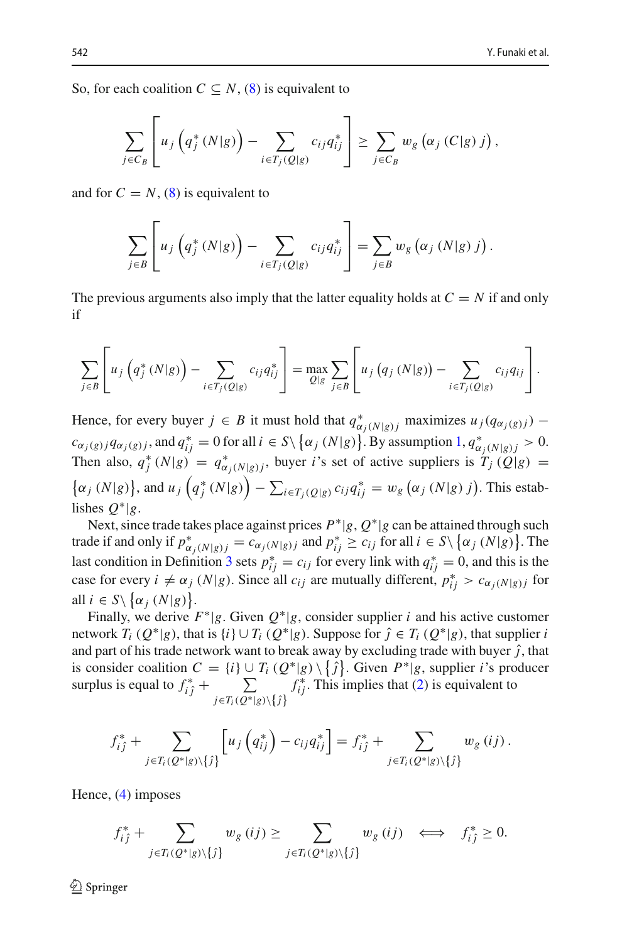So, for each coalition  $C \subseteq N$ , [\(8\)](#page-16-0) is equivalent to

$$
\sum_{j\in C_B} \left[ u_j \left( q_j^* \left( N | g \right) \right) - \sum_{i\in T_j(Q|g)} c_{ij} q_{ij}^* \right] \geq \sum_{j\in C_B} w_g \left( \alpha_j \left( C | g \right) j \right),
$$

and for  $C = N$ , [\(8\)](#page-16-0) is equivalent to

$$
\sum_{j\in B}\left[u_j\left(q_j^*(N|g)\right)-\sum_{i\in T_j(Q|g)}c_{ij}q_{ij}^*\right]=\sum_{j\in B}w_g\left(\alpha_j\left(N|g\right)j\right).
$$

The previous arguments also imply that the latter equality holds at  $C = N$  if and only if

$$
\sum_{j\in B}\left[u_j\left(q_j^*(N|g)\right)-\sum_{i\in T_j(Q|g)}c_{ij}q_{ij}^*\right]=\max_{Q|g}\sum_{j\in B}\left[u_j\left(q_j\left(N|g\right)\right)-\sum_{i\in T_j(Q|g)}c_{ij}q_{ij}\right].
$$

Hence, for every buyer  $j \in B$  it must hold that  $q^*_{\alpha_j(N|g)j}$  maximizes  $u_j(q_{\alpha_j(g)j})$  –  $c_{\alpha_j(g)j}q_{\alpha_j(g)j}$ , and  $q_{ij}^* = 0$  for all  $i \in S \setminus \{\alpha_j(N|g)\}\$ . By assumption  $1, q^*_{\alpha_j(N|g)j} > 0$  $1, q^*_{\alpha_j(N|g)j} > 0$ . Then also,  $q_j^*(N|g) = q_{\alpha_j(N|g)j}^*$ , buyer *i*'s set of active suppliers is  $T_j(Q|g) =$  $\{\alpha_j(N|g)\}\$ , and  $u_j\left(q_j^*(N|g)\right) - \sum_{i \in T_j(Q|g)} c_{ij}q_{ij}^* = w_g\left(\alpha_j(N|g)\right)$ . This establishes  $Q^*|g$ .

Next, since trade takes place against prices *P*∗|*g*, *Q*∗|*g* can be attained through such trade if and only if  $p^*_{\alpha_j(N|g)} = c_{\alpha_j(N|g)}$  and  $p^*_{ij} \ge c_{ij}$  for all  $i \in S \setminus {\alpha_j(N|g)}$ . The last condition in Definition [3](#page-7-2) sets  $p_{ij}^* = c_{ij}$  for every link with  $q_{ij}^* = 0$ , and this is the case for every  $i \neq \alpha_j$  ( $N|g$ ). Since all  $c_{ij}$  are mutually different,  $p_{ij}^* > c_{\alpha_j(N|g)j}$  for all  $i \in S \setminus \{ \alpha_j(N|g) \}.$ 

Finally, we derive  $F^*|g$ . Given  $Q^*|g$ , consider supplier *i* and his active customer network  $T_i$  ( $Q^*|g$ ), that is  $\{i\} \cup T_i$  ( $Q^*|g$ ). Suppose for  $\hat{j} \in T_i$  ( $Q^*|g$ ), that supplier *i* and part of his trade network want to break away by excluding trade with buyer  $\hat{j}$ , that is consider coalition  $C = \{i\} \cup T_i (Q^*|g) \setminus \{\hat{j}\}\)$ . Given  $P^*|g$ , supplier *i*'s producer surplus is equal to  $f_{i\hat{j}}^*$  +  $\sum_{i \in \mathcal{T}_i(\Omega^*)}$  $j \in T_i(Q^*|g) \setminus \{j\}$  $f_{ij}^*$ . This implies that [\(2\)](#page-7-0) is equivalent to

$$
f_{ij}^* + \sum_{j \in T_i(Q^*|g)\backslash\{j\}} \left[ u_j\left(q_{ij}^*\right) - c_{ij}q_{ij}^* \right] = f_{ij}^* + \sum_{j \in T_i(Q^*|g)\backslash\{j\}} w_g\left(ij\right).
$$

Hence, [\(4\)](#page-8-0) imposes

$$
f_{ij}^* + \sum_{j \in T_i(Q^*|g) \setminus \{j\}} w_g(ij) \ge \sum_{j \in T_i(Q^*|g) \setminus \{j\}} w_g(ij) \iff f_{ij}^* \ge 0.
$$

 $\mathcal{L}$  Springer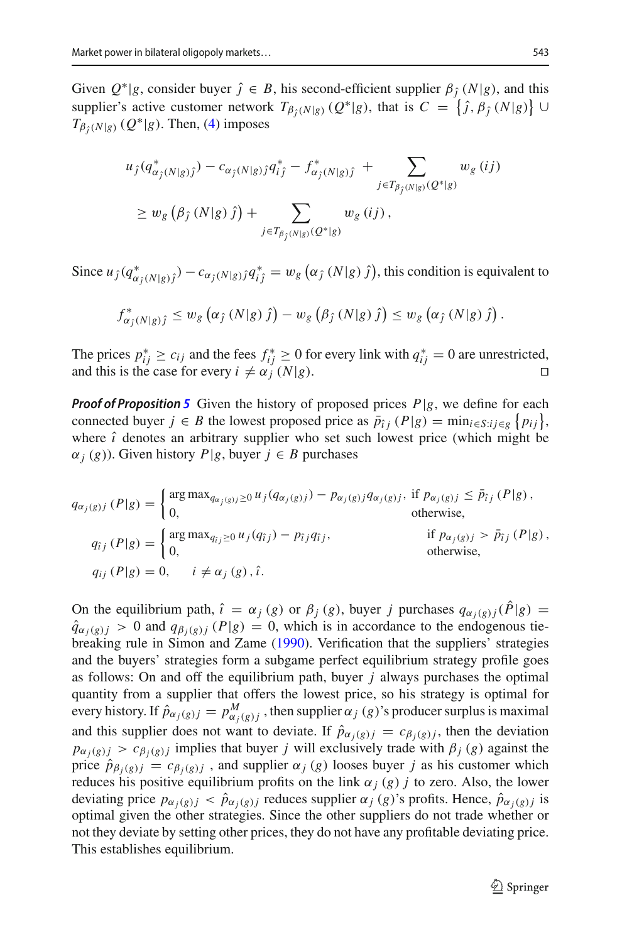Given  $Q^*|g$ , consider buyer  $\hat{j} \in B$ , his second-efficient supplier  $\beta_{\hat{i}}(N|g)$ , and this supplier's active customer network  $T_{\beta_j(N|g)}(Q^*|g)$ , that is  $C = \{\hat{j}, \beta_j(N|g)\} \cup$  $T_{\beta_i(N|g)}(Q^*|g)$ . Then, [\(4\)](#page-8-0) imposes

$$
u_j(q^*_{\alpha_j(N|g)j}) - c_{\alpha_j(N|g)j}q^*_{ij} - f^*_{\alpha_j(N|g)j} + \sum_{j \in T_{\beta_j(N|g)}(Q^*|g)} w_g(ij)
$$
  
\n
$$
\geq w_g(\beta_j(N|g)j) + \sum_{j \in T_{\beta_j(N|g)}(Q^*|g)} w_g(ij),
$$

Since  $u_j(q^*_{\alpha_j(N|g)_j}) - c_{\alpha_j(N|g)_j}q^*_{ij} = w_g(\alpha_j(N|g)_j)$ , this condition is equivalent to

$$
f_{\alpha_j(N|g)\hat{\jmath}}^* \leq w_g\left(\alpha_j(N|g)\hat{\jmath}\right) - w_g\left(\beta_j(N|g)\hat{\jmath}\right) \leq w_g\left(\alpha_j(N|g)\hat{\jmath}\right).
$$

The prices  $p_{ij}^* \ge c_{ij}$  and the fees  $f_{ij}^* \ge 0$  for every link with  $q_{ij}^* = 0$  are unrestricted, and this is the case for every  $i \neq \alpha_j^{\prime} (N|g)$ .

*Proof of Proposition* [5](#page-10-1) Given the history of proposed prices  $P|g$ , we define for each connected buyer  $j \in B$  the lowest proposed price as  $\bar{p}_{ij}$   $(P|g) = \min_{i \in S : i j \in g} \{p_{ij}\}\,$ where  $\hat{i}$  denotes an arbitrary supplier who set such lowest price (which might be  $\alpha_i(g)$ ). Given history *P*|*g*, buyer  $j \in B$  purchases

$$
q_{\alpha_j(g)j}(P|g) = \begin{cases} \arg \max_{q_{\alpha_j(g)j} \ge 0} u_j(q_{\alpha_j(g)j}) - p_{\alpha_j(g)j}q_{\alpha_j(g)j}, & \text{if } p_{\alpha_j(g)j} \le \bar{p}_{\hat{i}j}(P|g), \\ 0, & \text{otherwise,} \end{cases}
$$
  
\n
$$
q_{\hat{i}j}(P|g) = \begin{cases} \arg \max_{q_{\hat{i}j} \ge 0} u_j(q_{\hat{i}j}) - p_{\hat{i}j}q_{\hat{i}j}, & \text{if } p_{\alpha_j(g)j} > \bar{p}_{\hat{i}j}(P|g), \\ 0, & \text{otherwise,} \end{cases}
$$
  
\n
$$
q_{\hat{i}j}(P|g) = 0, \quad i \ne \alpha_j(g), \hat{i}.
$$

On the equilibrium path,  $\hat{i} = \alpha_j(g)$  or  $\beta_j(g)$ , buyer *j* purchases  $q_{\alpha_j(g)j}(\hat{P}|g) =$  $\hat{q}_{\alpha_i(g)j} > 0$  and  $q_{\beta_i(g)j}$  (*P*|*g*) = 0, which is in accordance to the endogenous tiebreaking rule in Simon and Zam[e](#page-21-17) [\(1990](#page-21-17)). Verification that the suppliers' strategies and the buyers' strategies form a subgame perfect equilibrium strategy profile goes as follows: On and off the equilibrium path, buyer *j* always purchases the optimal quantity from a supplier that offers the lowest price, so his strategy is optimal for every history. If  $\hat{p}_{\alpha_j(g)j} = p^M_{\alpha_j(g)j}$ , then supplier  $\alpha_j(g)$ 's producer surplus is maximal and this supplier does not want to deviate. If  $\hat{p}_{\alpha_i(g)j} = c_{\beta_i(g)j}$ , then the deviation  $p_{\alpha_j(g)j} > c_{\beta_j(g)j}$  implies that buyer *j* will exclusively trade with  $\beta_j(g)$  against the price  $\hat{p}_{\beta_j(g)j} = c_{\beta_j(g)j}$ , and supplier  $\alpha_j(g)$  looses buyer *j* as his customer which reduces his positive equilibrium profits on the link  $\alpha_j$  (*g*) *j* to zero. Also, the lower deviating price  $p_{\alpha_j(g)j} < \hat{p}_{\alpha_j(g)j}$  reduces supplier  $\alpha_j(g)$ 's profits. Hence,  $\hat{p}_{\alpha_j(g)j}$  is optimal given the other strategies. Since the other suppliers do not trade whether or not they deviate by setting other prices, they do not have any profitable deviating price. This establishes equilibrium.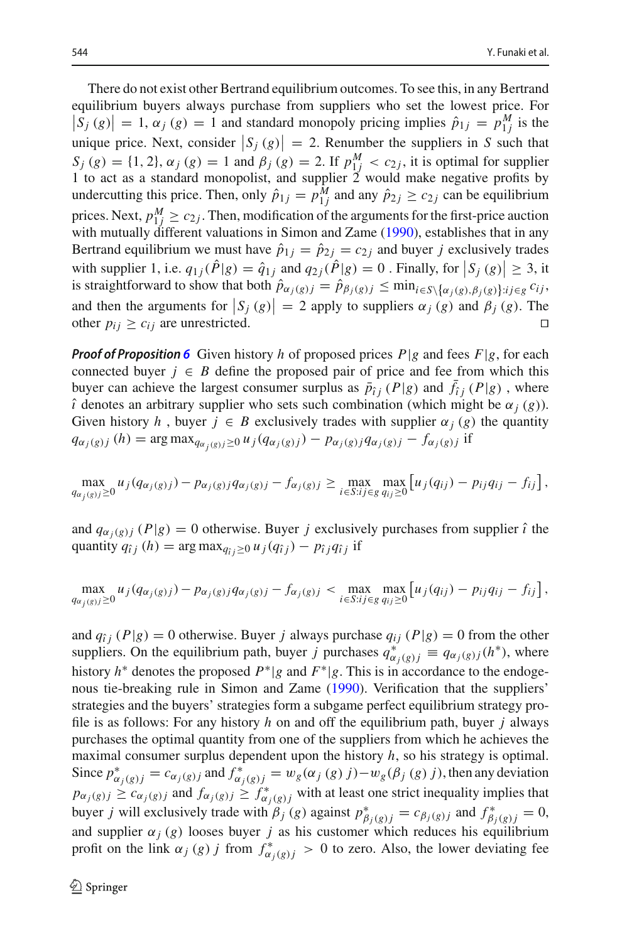There do not exist other Bertrand equilibrium outcomes. To see this, in any Bertrand equilibrium buyers always purchase from suppliers who set the lowest price. For  $|S_j(g)| = 1$ ,  $\alpha_j(g) = 1$  and standard monopoly pricing implies  $\hat{p}_{1j} = p_{1j}^M$  is the unique price. Next, consider  $|S_j(g)| = 2$ . Renumber the suppliers in *S* such that *S<sub>j</sub>* (*g*) = {1, 2},  $\alpha_j$  (*g*) = 1 and  $\beta_j$  (*g*) = 2. If  $p_{1j}^M < c_{2j}$ , it is optimal for supplier 1 to act as a standard monopolist, and supplier 2 would make negative profits by undercutting this price. Then, only  $\hat{p}_{1j} = p_{1j}^M$  and any  $\hat{p}_{2j} \ge c_{2j}$  can be equilibrium prices. Next,  $p_{1j}^M \ge c_{2j}$ . Then, modification of the arguments for the first-price auction with mutually different valuations in Simon and Zam[e](#page-21-17) [\(1990](#page-21-17)), establishes that in any Bertrand equilibrium we must have  $\hat{p}_{1j} = \hat{p}_{2j} = c_{2j}$  and buyer *j* exclusively trades with supplier 1, i.e.  $q_{1j}(\hat{P}|g) = \hat{q}_{1j}$  and  $q_{2j}(\hat{P}|g) = 0$ . Finally, for  $|S_j(g)| \ge 3$ , it is straightforward to show that both  $\hat{p}_{\alpha_j(g)j} = \hat{p}_{\beta_j(g)j} \leq \min_{i \in S \setminus {\{\alpha_j(g), \beta_j(g)\}}: i \in g} c_{ij}$ , and then the arguments for  $|S_j(g)| = 2$  apply to suppliers  $\alpha_j(g)$  and  $\beta_j(g)$ . The other  $p_{ij} \ge c_{ij}$  are unrestricted.

*Proof of Proposition* **[6](#page-11-0)** Given history *h* of proposed prices  $P|g$  and fees  $F|g$ , for each connected buyer  $j \in B$  define the proposed pair of price and fee from which this buyer can achieve the largest consumer surplus as  $\bar{p}_{i j}$  (*P*|*g*) and  $\bar{f}_{i j}$  (*P*|*g*), where  $\hat{i}$  denotes an arbitrary supplier who sets such combination (which might be  $\alpha_j$  (*g*)). Given history *h*, buyer  $j \in B$  exclusively trades with supplier  $\alpha_j(g)$  the quantity  $q_{\alpha_j(g)j}(h) = \arg \max_{q_{\alpha_j(g)j} \ge 0} u_j(q_{\alpha_j(g)j}) - p_{\alpha_j(g)j} q_{\alpha_j(g)j} - f_{\alpha_j(g)j}$  if

$$
\max_{q_{\alpha_j(g)j}\geq 0} u_j(q_{\alpha_j(g)j}) - p_{\alpha_j(g)j}q_{\alpha_j(g)j} - f_{\alpha_j(g)j} \geq \max_{i \in S: i j \in g} \max_{q_{ij}\geq 0} \left[ u_j(q_{ij}) - p_{ij}q_{ij} - f_{ij} \right],
$$

and  $q_{\alpha_i(g)j}(P|g) = 0$  otherwise. Buyer *j* exclusively purchases from supplier  $\hat{i}$  the quantity  $q_{\hat{i}j}$  (h) = arg max $_{q_{\hat{i}j} \geq 0} u_j(q_{\hat{i}j}) - p_{\hat{i}j}q_{\hat{i}j}$  if

$$
\max_{q_{\alpha_j(g)j}\geq 0} u_j(q_{\alpha_j(g)j}) - p_{\alpha_j(g)j}q_{\alpha_j(g)j} - f_{\alpha_j(g)j} < \max_{i \in S: i j \in g} \max_{q_{ij}\geq 0} [u_j(q_{ij}) - p_{ij}q_{ij} - f_{ij}],
$$

and  $q_{ij}$  ( $P|g$ ) = 0 otherwise. Buyer *j* always purchase  $q_{ij}$  ( $P|g$ ) = 0 from the other suppliers. On the equilibrium path, buyer *j* purchases  $q^*_{\alpha_j(g)j} \equiv q_{\alpha_j(g)j}(h^*)$ , where history *h*<sup>∗</sup> denotes the proposed *P*∗|*g* and *F*∗|*g*. This is in accordance to the endogenous tie-breaking rule in Simon and Zam[e](#page-21-17) [\(1990](#page-21-17)). Verification that the suppliers' strategies and the buyers' strategies form a subgame perfect equilibrium strategy profile is as follows: For any history *h* on and off the equilibrium path, buyer *j* always purchases the optimal quantity from one of the suppliers from which he achieves the maximal consumer surplus dependent upon the history *h*, so his strategy is optimal. Since  $p^*_{\alpha_j(g)j} = c_{\alpha_j(g)j}$  and  $f^*_{\alpha_j(g)j} = w_g(\alpha_j(g) j) - w_g(\beta_j(g) j)$ , then any deviation  $p_{\alpha_j(g)j} \ge c_{\alpha_j(g)j}$  and  $f_{\alpha_j(g)j} \ge f_{\alpha_j(g)j}^*$  with at least one strict inequality implies that buyer *j* will exclusively trade with  $\beta_j$  (*g*) against  $p^*_{\beta_j(g)j} = c_{\beta_j(g)j}$  and  $f^*_{\beta_j(g)j} = 0$ , and supplier  $\alpha_j(g)$  looses buyer *j* as his customer which reduces his equilibrium profit on the link  $\alpha_j(g)$  *j* from  $f^*_{\alpha_j(g)j} > 0$  to zero. Also, the lower deviating fee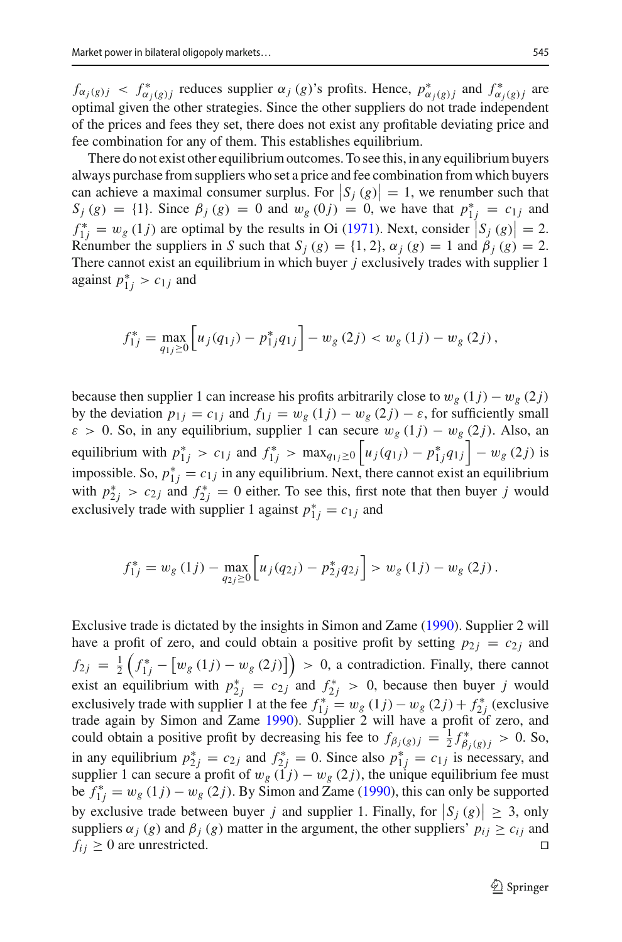$f_{\alpha_j(g)j} < f_{\alpha_j(g)j}^*$  reduces supplier  $\alpha_j(g)$ 's profits. Hence,  $p_{\alpha_j(g)j}^*$  and  $f_{\alpha_j(g)j}^*$  are optimal given the other strategies. Since the other suppliers do not trade independent of the prices and fees they set, there does not exist any profitable deviating price and fee combination for any of them. This establishes equilibrium.

There do not exist other equilibrium outcomes. To see this, in any equilibrium buyers always purchase from suppliers who set a price and fee combination from which buyers can achieve a maximal consumer surplus. For  $|S_j(g)| = 1$ , we renumber such that  $S_j(g) = \{1\}$ . Since  $\beta_j(g) = 0$  and  $w_g(0j) = 0$ , we have that  $p_{1j}^* = c_{1j}$  and  $f_{1j}^* = w_g (1j)$  are opt[i](#page-21-9)mal by the results in Oi [\(1971](#page-21-9)). Next, consider  $|S_j (g)| = 2$ . Renumber the suppliers in *S* such that  $S_i(g) = \{1, 2\}$ ,  $\alpha_i(g) = 1$  and  $\beta_i(g) = 2$ . There cannot exist an equilibrium in which buyer *j* exclusively trades with supplier 1 against  $p_{1j}^* > c_{1j}$  and

$$
f_{1j}^* = \max_{q_{1j} \ge 0} \left[ u_j(q_{1j}) - p_{1j}^* q_{1j} \right] - w_g(2j) < w_g(1j) - w_g(2j) \,,
$$

because then supplier 1 can increase his profits arbitrarily close to  $w_g(1 j) - w_g(2 j)$ by the deviation  $p_{1j} = c_{1j}$  and  $f_{1j} = w_g(1j) - w_g(2j) - \varepsilon$ , for sufficiently small  $\varepsilon > 0$ . So, in any equilibrium, supplier 1 can secure  $w_g(1j) - w_g(2j)$ . Also, an equilibrium with  $p_{1j}^* > c_{1j}$  and  $f_{1j}^* > \max_{q_{1j} \ge 0} \left[ u_j(q_{1j}) - p_{1j}^* q_{1j} \right] - w_g(2j)$  is impossible. So,  $p_{1j}^* = c_{1j}$  in any equilibrium. Next, there cannot exist an equilibrium with  $p_{2j}^* > c_{2j}$  and  $f_{2j}^* = 0$  either. To see this, first note that then buyer *j* would exclusively trade with supplier 1 against  $p_{1j}^* = c_{1j}$  and

$$
f_{1j}^* = w_g(1j) - \max_{q_{2j} \ge 0} \left[ u_j(q_{2j}) - p_{2j}^* q_{2j} \right] > w_g(1j) - w_g(2j).
$$

Exclusive trade is dictated by the insights in Simon and Zam[e](#page-21-17) [\(1990\)](#page-21-17). Supplier 2 will have a profit of zero, and could obtain a positive profit by setting  $p_{2i} = c_{2i}$  and  $f_{2j} = \frac{1}{2} \left( f_{1j}^* - \left[ w_g(1j) - w_g(2j) \right] \right) > 0$ , a contradiction. Finally, there cannot exist an equilibrium with  $p_{2j}^* = c_{2j}$  and  $f_{2j}^* > 0$ , because then buyer *j* would exclusively trade with supplier 1 at the fee  $f_{1j}^* = w_g(1j) - w_g(2j) + f_{2j}^*$  (exclusive trade again by Simon and Zam[e](#page-21-17) [1990\)](#page-21-17). Supplier 2 will have a profit of zero, and could obtain a positive profit by decreasing his fee to  $f_{\beta_j(g)j} = \frac{1}{2} f_{\beta_j(g)j}^* > 0$ . So, in any equilibrium  $p_{2j}^* = c_{2j}$  and  $f_{2j}^* = 0$ . Since also  $p_{1j}^* = c_{1j}$  is necessary, and supplier 1 can secure a profit of  $w_g$  ( $1j$ ) –  $w_g$  (2*j*), the unique equilibrium fee must b[e](#page-21-17)  $f_{1j}^* = w_g(1j) - w_g(2j)$ . By Simon and Zame [\(1990](#page-21-17)), this can only be supported by exclusive trade between buyer *j* and supplier 1. Finally, for  $|S_j(g)| \geq 3$ , only suppliers  $\alpha_j$  (*g*) and  $\beta_j$  (*g*) matter in the argument, the other suppliers'  $p_{ij} \ge c_{ij}$  and  $f_{ij} \geq 0$  are unrestricted.